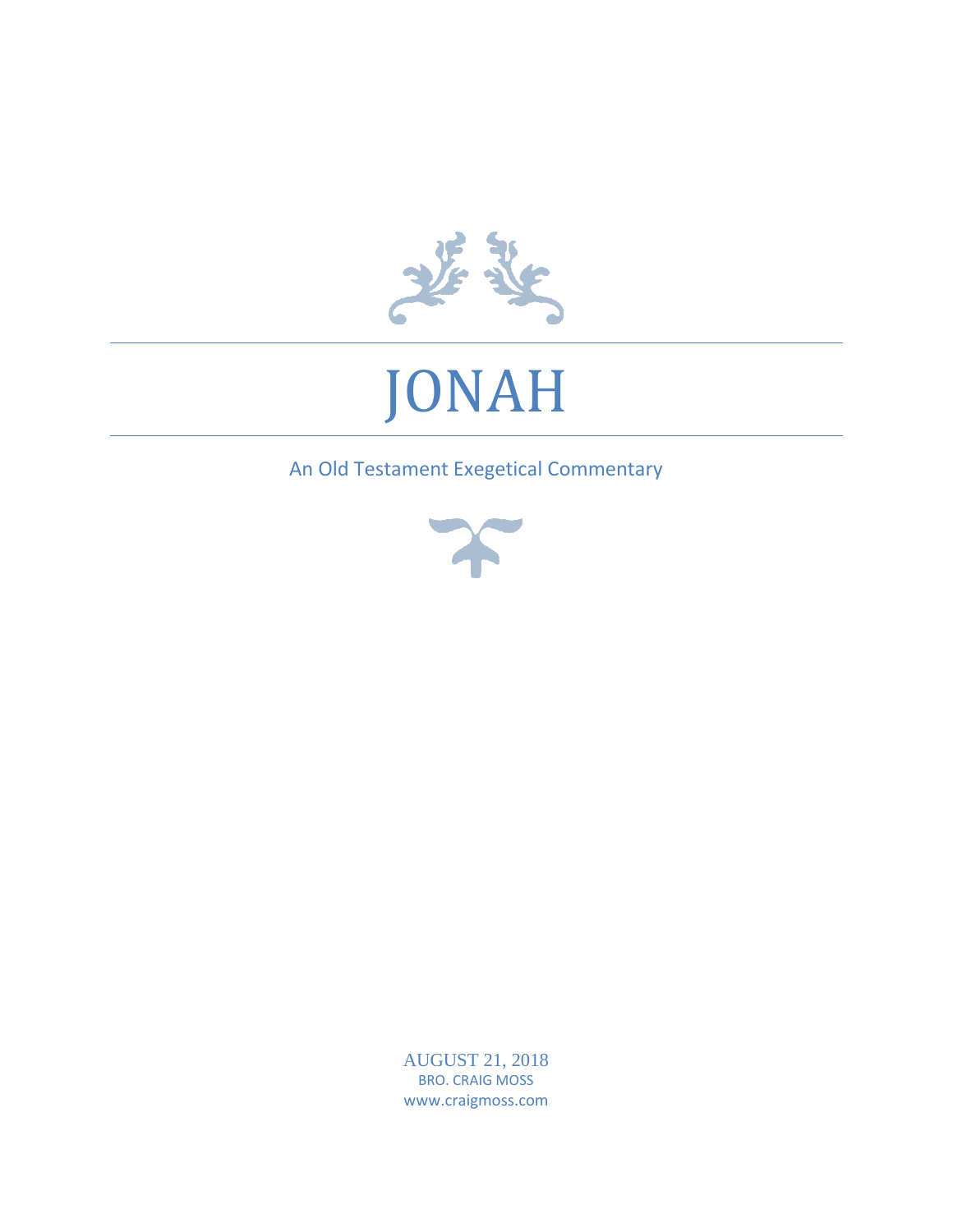

# JONAH

An Old Testament Exegetical Commentary



AUGUST 21, 2018 BRO. CRAIG MOSS www.craigmoss.com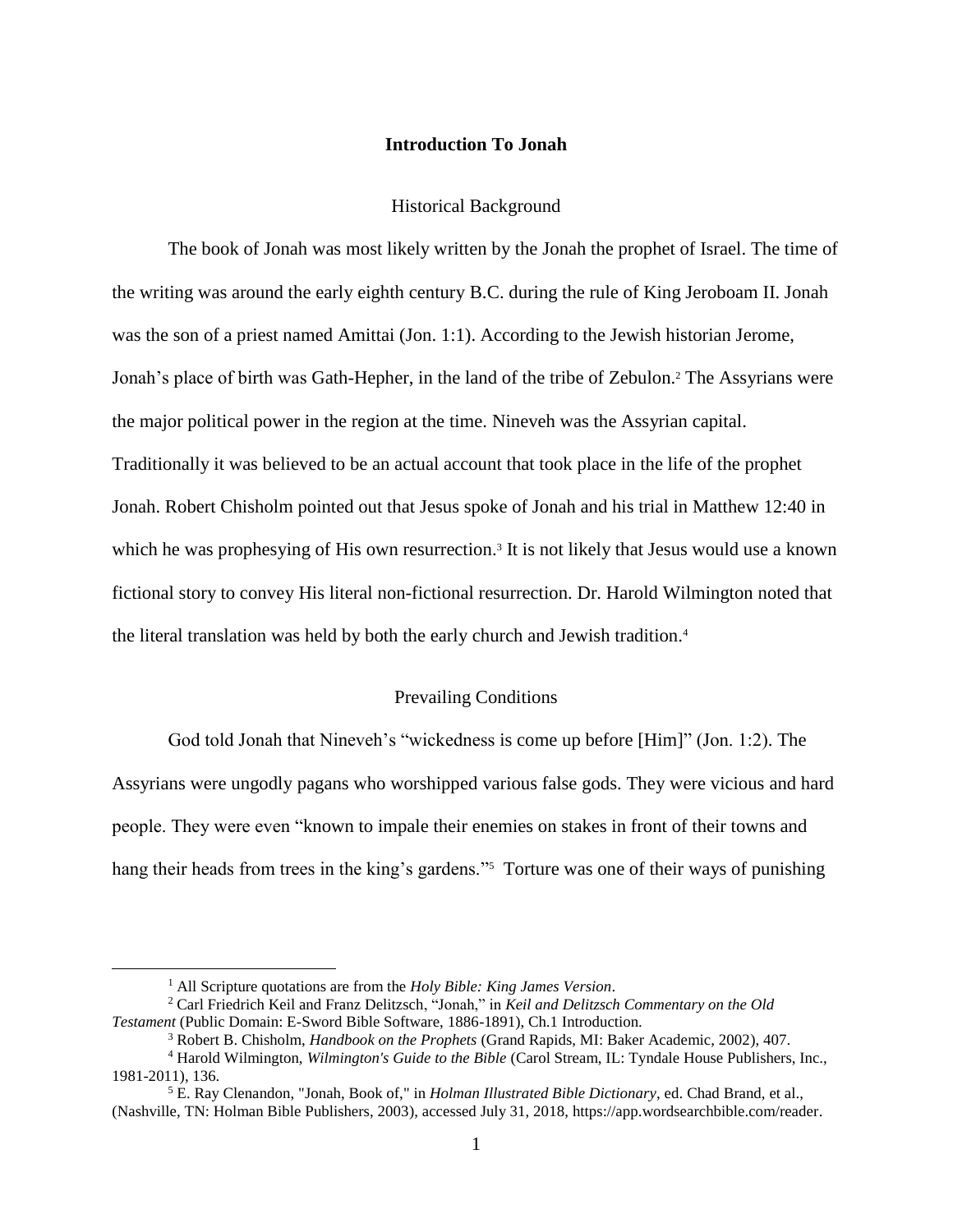# **Introduction To Jonah**

#### Historical Background

The book of Jonah was most likely written by the Jonah the prophet of Israel. The time of the writing was around the early eighth century B.C. during the rule of King Jeroboam II. Jonah was the son of a priest named Amittai (Jon. 1:1). According to the Jewish historian Jerome, Jonah's place of birth was Gath-Hepher, in the land of the tribe of Zebulon. <sup>2</sup> The Assyrians were the major political power in the region at the time. Nineveh was the Assyrian capital. Traditionally it was believed to be an actual account that took place in the life of the prophet Jonah. Robert Chisholm pointed out that Jesus spoke of Jonah and his trial in Matthew 12:40 in which he was prophesying of His own resurrection.<sup>3</sup> It is not likely that Jesus would use a known fictional story to convey His literal non-fictional resurrection. Dr. Harold Wilmington noted that the literal translation was held by both the early church and Jewish tradition.<sup>4</sup>

# Prevailing Conditions

God told Jonah that Nineveh's "wickedness is come up before [Him]" (Jon. 1:2). The Assyrians were ungodly pagans who worshipped various false gods. They were vicious and hard people. They were even "known to impale their enemies on stakes in front of their towns and hang their heads from trees in the king's gardens."<sup>5</sup> Torture was one of their ways of punishing

<sup>1</sup> All Scripture quotations are from the *Holy Bible: King James Version*.

<sup>2</sup> Carl Friedrich Keil and Franz Delitzsch, "Jonah," in *Keil and Delitzsch Commentary on the Old Testament* (Public Domain: E-Sword Bible Software, 1886-1891), Ch.1 Introduction.

<sup>3</sup> Robert B. Chisholm, *Handbook on the Prophets* (Grand Rapids, MI: Baker Academic, 2002), 407.

<sup>4</sup> Harold Wilmington, *Wilmington's Guide to the Bible* (Carol Stream, IL: Tyndale House Publishers, Inc., 1981-2011), 136.

<sup>5</sup> E. Ray Clenandon, "Jonah, Book of," in *Holman Illustrated Bible Dictionary*, ed. Chad Brand, et al., (Nashville, TN: Holman Bible Publishers, 2003), accessed July 31, 2018, https://app.wordsearchbible.com/reader.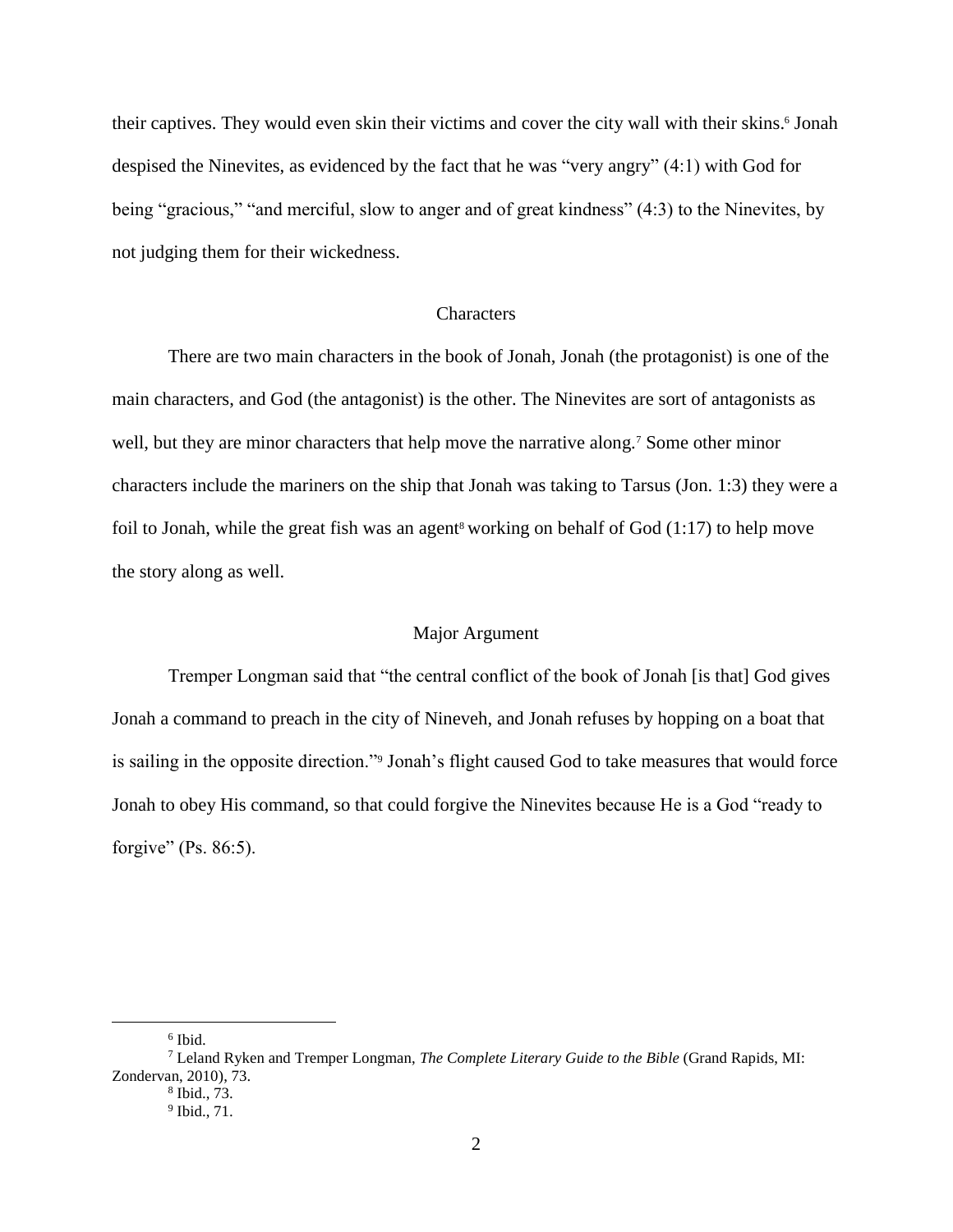their captives. They would even skin their victims and cover the city wall with their skins. <sup>6</sup> Jonah despised the Ninevites, as evidenced by the fact that he was "very angry" (4:1) with God for being "gracious," "and merciful, slow to anger and of great kindness" (4:3) to the Ninevites, by not judging them for their wickedness.

#### **Characters**

There are two main characters in the book of Jonah, Jonah (the protagonist) is one of the main characters, and God (the antagonist) is the other. The Ninevites are sort of antagonists as well, but they are minor characters that help move the narrative along.<sup>7</sup> Some other minor characters include the mariners on the ship that Jonah was taking to Tarsus (Jon. 1:3) they were a foil to Jonah, while the great fish was an agent<sup>8</sup> working on behalf of God  $(1:17)$  to help move the story along as well.

# Major Argument

Tremper Longman said that "the central conflict of the book of Jonah [is that] God gives Jonah a command to preach in the city of Nineveh, and Jonah refuses by hopping on a boat that is sailing in the opposite direction."<sup>9</sup> Jonah's flight caused God to take measures that would force Jonah to obey His command, so that could forgive the Ninevites because He is a God "ready to forgive" (Ps.  $86:5$ ).

<sup>6</sup> Ibid.

<sup>7</sup> Leland Ryken and Tremper Longman, *The Complete Literary Guide to the Bible* (Grand Rapids, MI: Zondervan, 2010), 73.

<sup>8</sup> Ibid., 73.

<sup>9</sup> Ibid., 71.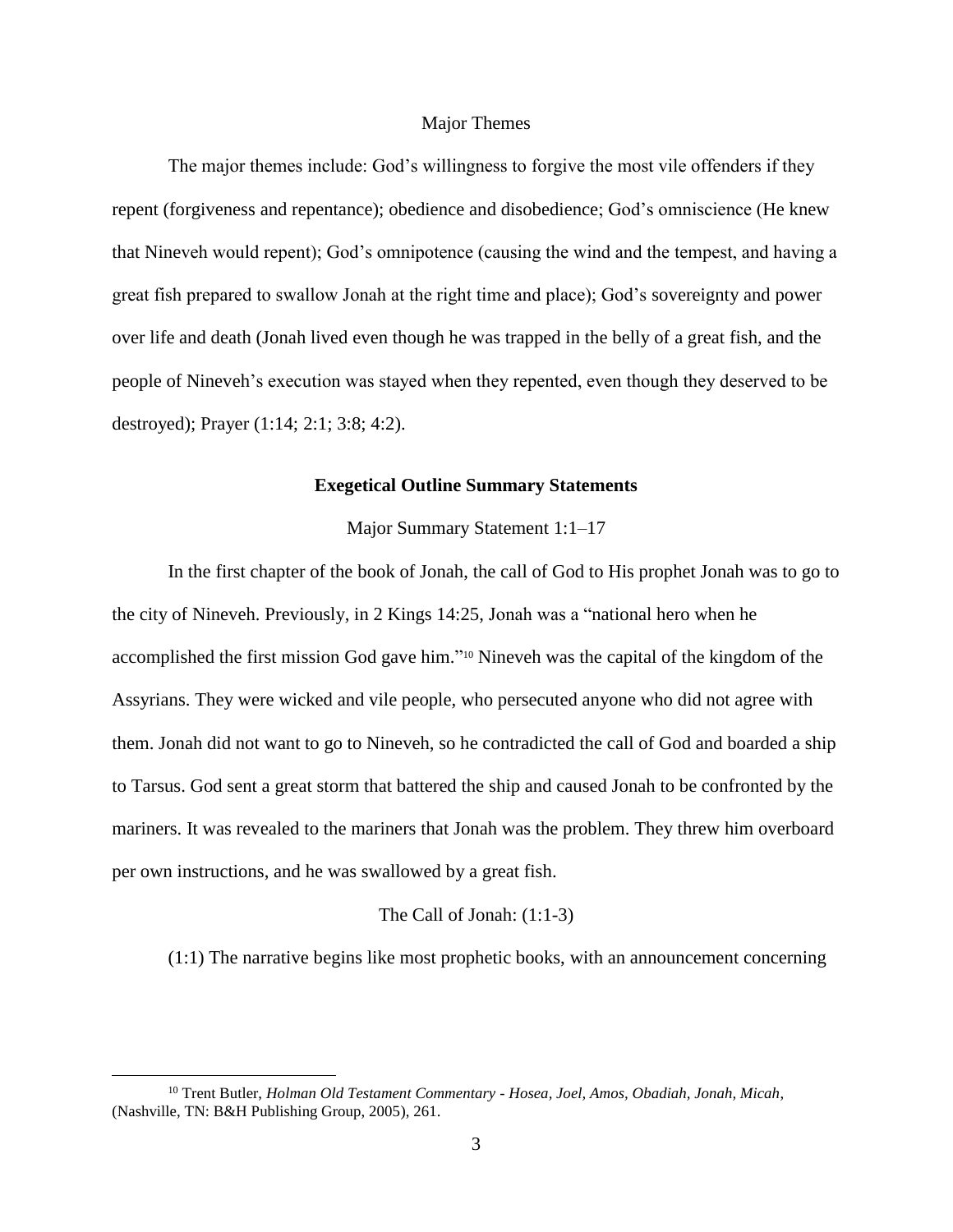## Major Themes

The major themes include: God's willingness to forgive the most vile offenders if they repent (forgiveness and repentance); obedience and disobedience; God's omniscience (He knew that Nineveh would repent); God's omnipotence (causing the wind and the tempest, and having a great fish prepared to swallow Jonah at the right time and place); God's sovereignty and power over life and death (Jonah lived even though he was trapped in the belly of a great fish, and the people of Nineveh's execution was stayed when they repented, even though they deserved to be destroyed); Prayer (1:14; 2:1; 3:8; 4:2).

### **Exegetical Outline Summary Statements**

#### Major Summary Statement 1:1–17

In the first chapter of the book of Jonah, the call of God to His prophet Jonah was to go to the city of Nineveh. Previously, in 2 Kings 14:25, Jonah was a "national hero when he accomplished the first mission God gave him." <sup>10</sup> Nineveh was the capital of the kingdom of the Assyrians. They were wicked and vile people, who persecuted anyone who did not agree with them. Jonah did not want to go to Nineveh, so he contradicted the call of God and boarded a ship to Tarsus. God sent a great storm that battered the ship and caused Jonah to be confronted by the mariners. It was revealed to the mariners that Jonah was the problem. They threw him overboard per own instructions, and he was swallowed by a great fish.

# The Call of Jonah: (1:1-3)

(1:1) The narrative begins like most prophetic books, with an announcement concerning

<sup>10</sup> Trent Butler, *Holman Old Testament Commentary - Hosea, Joel, Amos, Obadiah, Jonah, Micah*, (Nashville, TN: B&H Publishing Group, 2005), 261.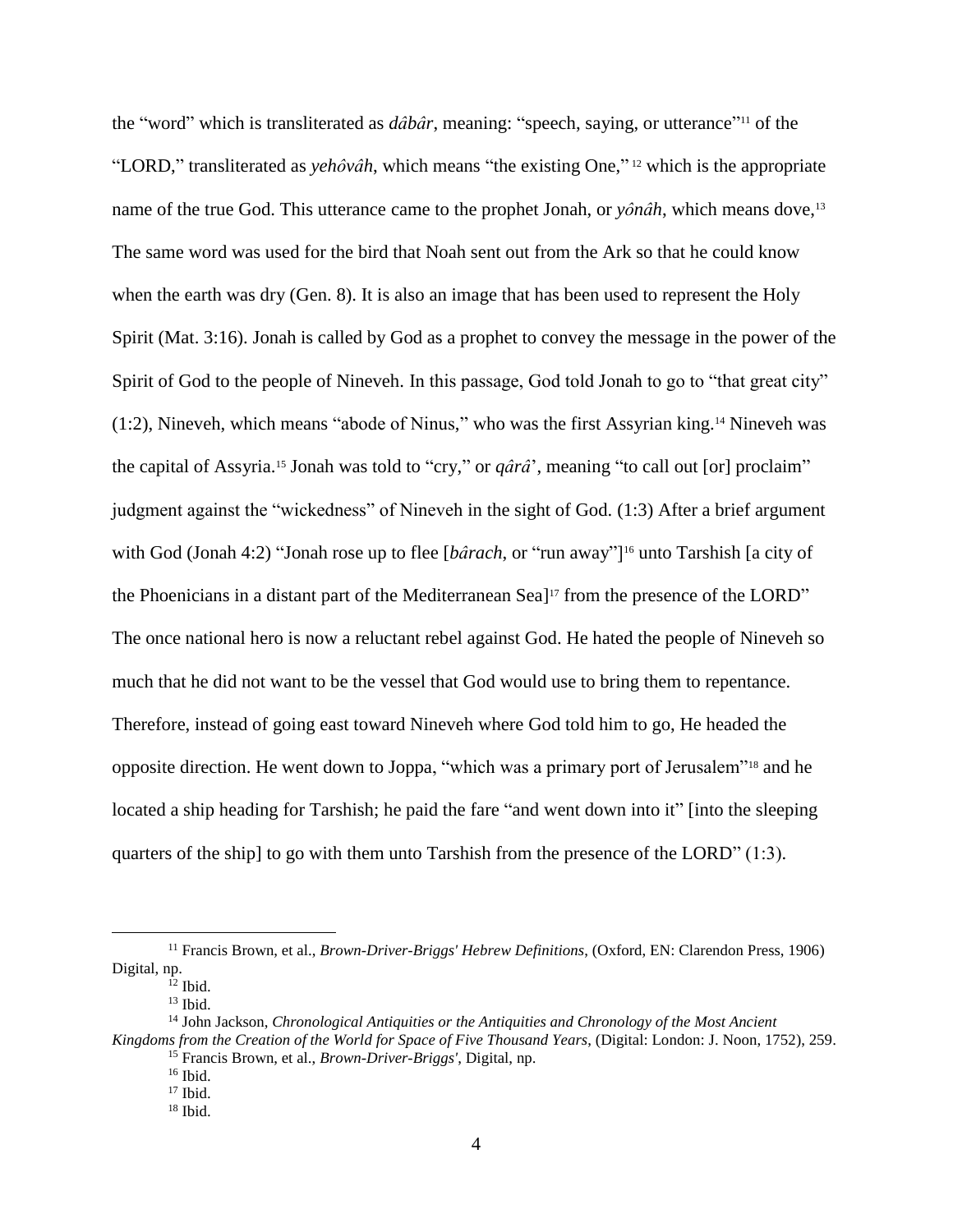the "word" which is transliterated as *dâbâr*, meaning: "speech, saying, or utterance" <sup>11</sup> of the "LORD," transliterated as *yehôvâh*, which means "the existing One," <sup>12</sup> which is the appropriate name of the true God. This utterance came to the prophet Jonah, or *yônâh*, which means dove,<sup>13</sup> The same word was used for the bird that Noah sent out from the Ark so that he could know when the earth was dry (Gen. 8). It is also an image that has been used to represent the Holy Spirit (Mat. 3:16). Jonah is called by God as a prophet to convey the message in the power of the Spirit of God to the people of Nineveh. In this passage, God told Jonah to go to "that great city" (1:2), Nineveh, which means "abode of Ninus," who was the first Assyrian king.<sup>14</sup> Nineveh was the capital of Assyria.<sup>15</sup> Jonah was told to "cry," or *qârâ*', meaning "to call out [or] proclaim" judgment against the "wickedness" of Nineveh in the sight of God. (1:3) After a brief argument with God (Jonah 4:2) "Jonah rose up to flee [*bârach*, or "run away"]<sup>16</sup> unto Tarshish [a city of the Phoenicians in a distant part of the Mediterranean Sea] <sup>17</sup> from the presence of the LORD" The once national hero is now a reluctant rebel against God. He hated the people of Nineveh so much that he did not want to be the vessel that God would use to bring them to repentance. Therefore, instead of going east toward Nineveh where God told him to go, He headed the opposite direction. He went down to Joppa, "which was a primary port of Jerusalem"<sup>18</sup> and he located a ship heading for Tarshish; he paid the fare "and went down into it" [into the sleeping quarters of the ship] to go with them unto Tarshish from the presence of the LORD" (1:3).

<sup>11</sup> Francis Brown, et al., *Brown-Driver-Briggs' Hebrew Definitions*, (Oxford, EN: Clarendon Press, 1906) Digital, np.

 $12$  Ibid.

 $13$  Ibid.

<sup>14</sup> John Jackson, *Chronological Antiquities or the Antiquities and Chronology of the Most Ancient Kingdoms from the Creation of the World for Space of Five Thousand Years*, (Digital: London: J. Noon, 1752), 259. <sup>15</sup> Francis Brown, et al., *Brown-Driver-Briggs'*, Digital, np.

 $16$  Ibid.

 $17$  Ibid.

 $18$  Ibid.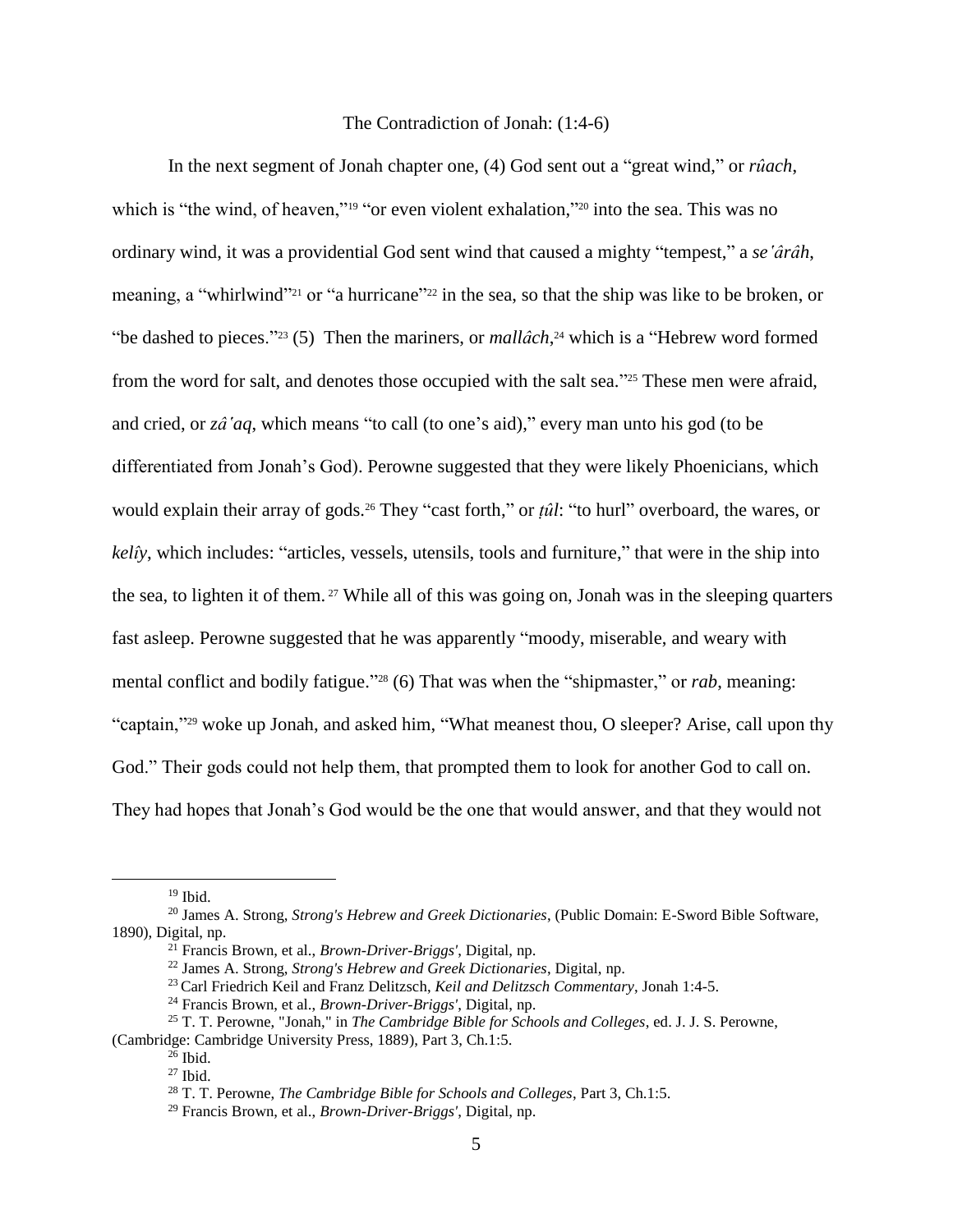## The Contradiction of Jonah: (1:4-6)

In the next segment of Jonah chapter one, (4) God sent out a "great wind," or *rûach*, which is "the wind, of heaven,"<sup>19</sup> "or even violent exhalation,"<sup>20</sup> into the sea. This was no ordinary wind, it was a providential God sent wind that caused a mighty "tempest," a *se'ârâh*, meaning, a "whirlwind"<sup>21</sup> or "a hurricane"<sup>222</sup> in the sea, so that the ship was like to be broken, or "be dashed to pieces."<sup>23</sup> (5) Then the mariners, or *mallâch*, <sup>24</sup> which is a "Hebrew word formed from the word for salt, and denotes those occupied with the salt sea."<sup>25</sup> These men were afraid, and cried, or *zâ'aq*, which means "to call (to one's aid)," every man unto his god (to be differentiated from Jonah's God). Perowne suggested that they were likely Phoenicians, which would explain their array of gods.<sup>26</sup> They "cast forth," or *ṭûl*: "to hurl" overboard, the wares, or *kelîy*, which includes: "articles, vessels, utensils, tools and furniture," that were in the ship into the sea, to lighten it of them. <sup>27</sup> While all of this was going on, Jonah was in the sleeping quarters fast asleep. Perowne suggested that he was apparently "moody, miserable, and weary with mental conflict and bodily fatigue."<sup>28</sup> (6) That was when the "shipmaster," or *rab*, meaning: "captain,"<sup>29</sup> woke up Jonah, and asked him, "What meanest thou, O sleeper? Arise, call upon thy God." Their gods could not help them, that prompted them to look for another God to call on. They had hopes that Jonah's God would be the one that would answer, and that they would not

 $19$  Ibid.

<sup>20</sup> James A. Strong, *Strong's Hebrew and Greek Dictionaries*, (Public Domain: E-Sword Bible Software, 1890), Digital, np.

<sup>21</sup> Francis Brown, et al., *Brown-Driver-Briggs'*, Digital, np.

<sup>22</sup> James A. Strong, *Strong's Hebrew and Greek Dictionaries*, Digital, np.

<sup>23</sup> Carl Friedrich Keil and Franz Delitzsch, *Keil and Delitzsch Commentary*, Jonah 1:4-5.

<sup>24</sup> Francis Brown, et al., *Brown-Driver-Briggs'*, Digital, np.

<sup>25</sup> T. T. Perowne, "Jonah," in *The Cambridge Bible for Schools and Colleges*, ed. J. J. S. Perowne, (Cambridge: Cambridge University Press, 1889), Part 3, Ch.1:5.

 $^{26}$  Ibid.

 $27$  Ibid.

<sup>28</sup> T. T. Perowne, *The Cambridge Bible for Schools and Colleges*, Part 3, Ch.1:5.

<sup>29</sup> Francis Brown, et al., *Brown-Driver-Briggs'*, Digital, np.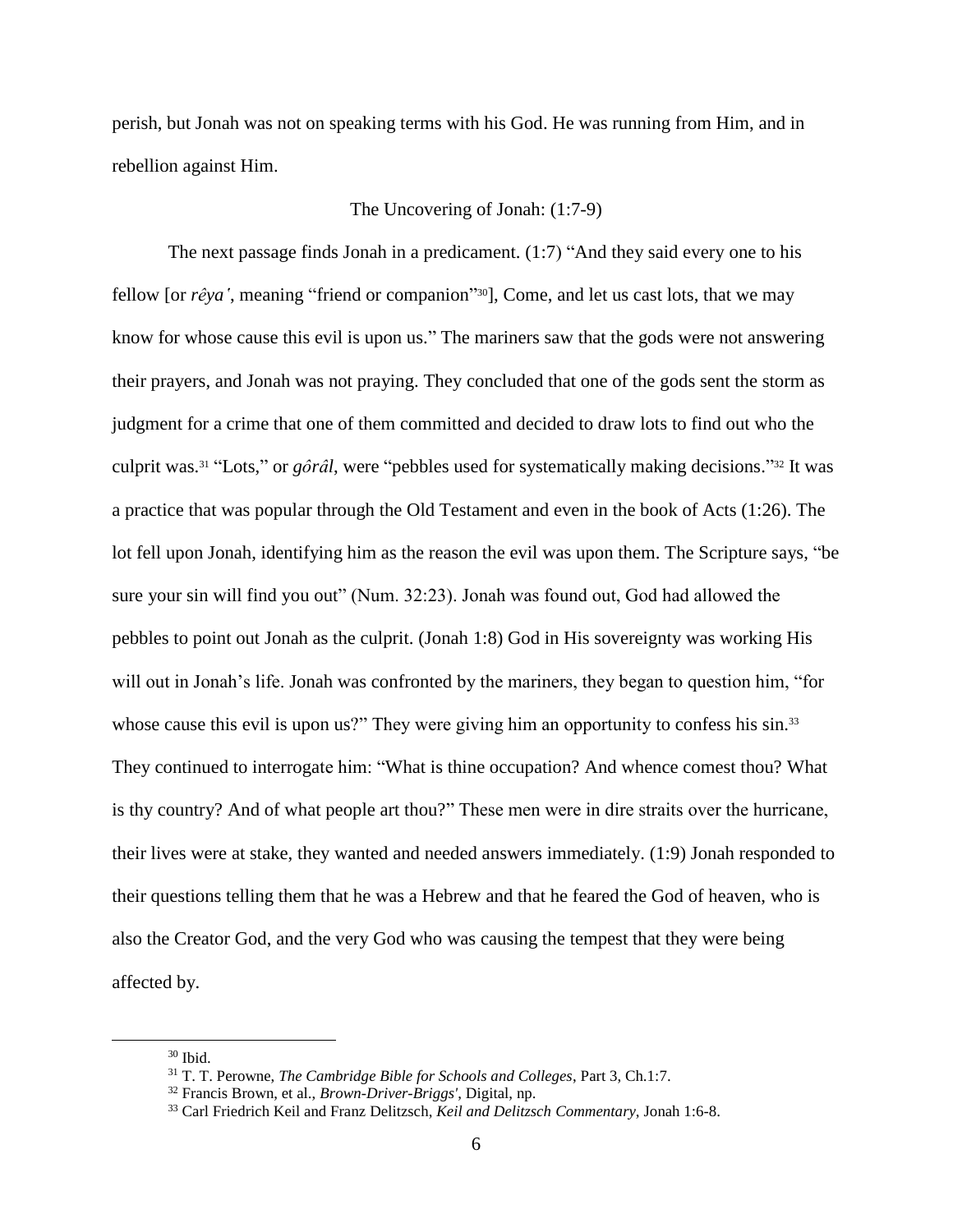perish, but Jonah was not on speaking terms with his God. He was running from Him, and in rebellion against Him.

# The Uncovering of Jonah: (1:7-9)

The next passage finds Jonah in a predicament. (1:7) "And they said every one to his fellow [or *rêya'*, meaning "friend or companion" <sup>30</sup>], Come, and let us cast lots, that we may know for whose cause this evil is upon us." The mariners saw that the gods were not answering their prayers, and Jonah was not praying. They concluded that one of the gods sent the storm as judgment for a crime that one of them committed and decided to draw lots to find out who the culprit was.<sup>31</sup> "Lots," or *gôrâl*, were "pebbles used for systematically making decisions." <sup>32</sup> It was a practice that was popular through the Old Testament and even in the book of Acts (1:26). The lot fell upon Jonah, identifying him as the reason the evil was upon them. The Scripture says, "be sure your sin will find you out" (Num. 32:23). Jonah was found out, God had allowed the pebbles to point out Jonah as the culprit. (Jonah 1:8) God in His sovereignty was working His will out in Jonah's life. Jonah was confronted by the mariners, they began to question him, "for whose cause this evil is upon us?" They were giving him an opportunity to confess his sin.<sup>33</sup> They continued to interrogate him: "What is thine occupation? And whence comest thou? What is thy country? And of what people art thou?" These men were in dire straits over the hurricane, their lives were at stake, they wanted and needed answers immediately. (1:9) Jonah responded to their questions telling them that he was a Hebrew and that he feared the God of heaven, who is also the Creator God, and the very God who was causing the tempest that they were being affected by.

 $30$  Ibid.

<sup>31</sup> T. T. Perowne, *The Cambridge Bible for Schools and Colleges*, Part 3, Ch.1:7.

<sup>32</sup> Francis Brown, et al., *Brown-Driver-Briggs'*, Digital, np.

<sup>33</sup> Carl Friedrich Keil and Franz Delitzsch, *Keil and Delitzsch Commentary*, Jonah 1:6-8.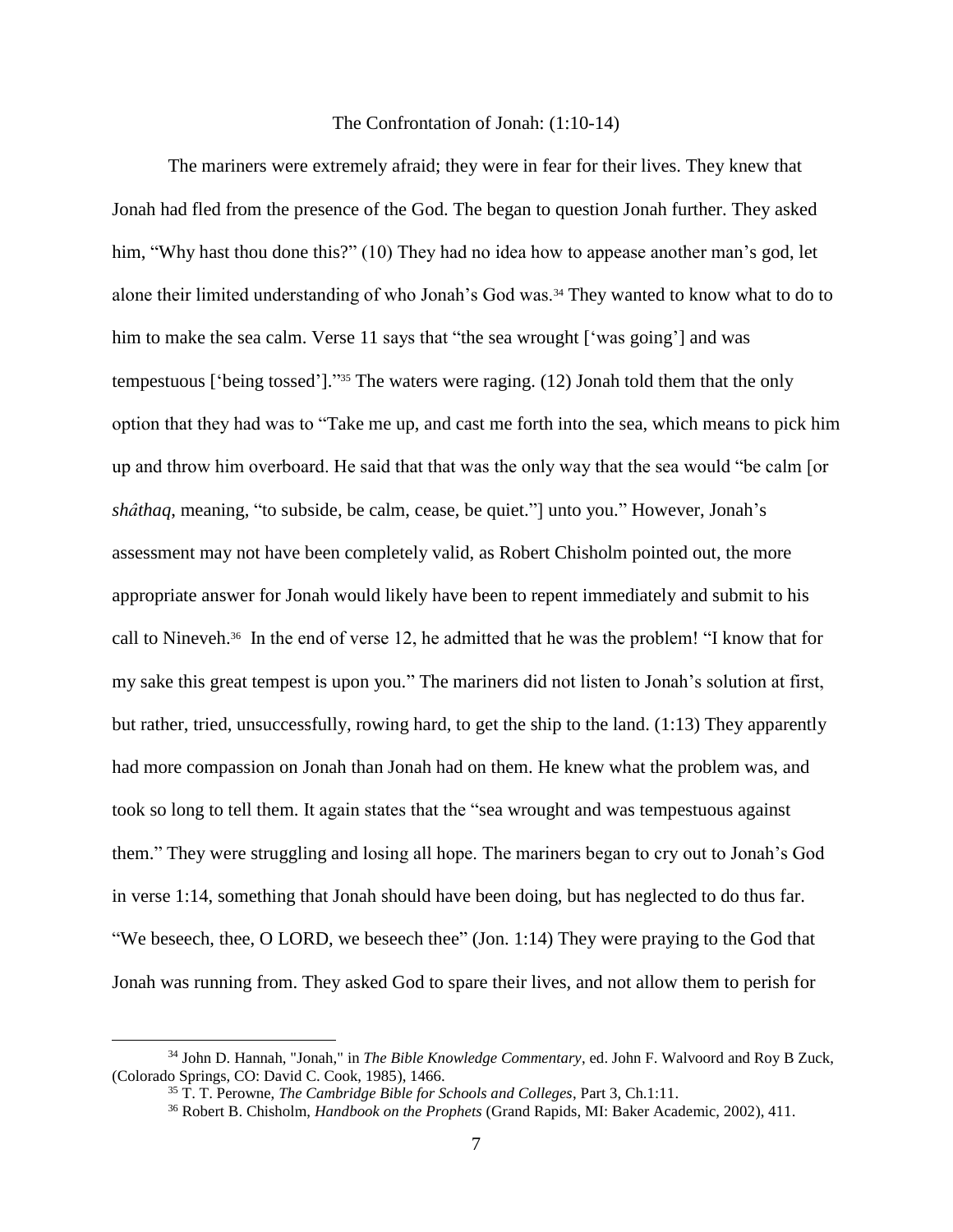# The Confrontation of Jonah: (1:10-14)

The mariners were extremely afraid; they were in fear for their lives. They knew that Jonah had fled from the presence of the God. The began to question Jonah further. They asked him, "Why hast thou done this?" (10) They had no idea how to appease another man's god, let alone their limited understanding of who Jonah's God was.<sup>34</sup> They wanted to know what to do to him to make the sea calm. Verse 11 says that "the sea wrought ['was going'] and was tempestuous ['being tossed']." <sup>35</sup> The waters were raging. (12) Jonah told them that the only option that they had was to "Take me up, and cast me forth into the sea, which means to pick him up and throw him overboard. He said that that was the only way that the sea would "be calm [or *shâthaq*, meaning, "to subside, be calm, cease, be quiet."] unto you." However, Jonah's assessment may not have been completely valid, as Robert Chisholm pointed out, the more appropriate answer for Jonah would likely have been to repent immediately and submit to his call to Nineveh.<sup>36</sup> In the end of verse 12, he admitted that he was the problem! "I know that for my sake this great tempest is upon you." The mariners did not listen to Jonah's solution at first, but rather, tried, unsuccessfully, rowing hard, to get the ship to the land. (1:13) They apparently had more compassion on Jonah than Jonah had on them. He knew what the problem was, and took so long to tell them. It again states that the "sea wrought and was tempestuous against them." They were struggling and losing all hope. The mariners began to cry out to Jonah's God in verse 1:14, something that Jonah should have been doing, but has neglected to do thus far. "We beseech, thee, O LORD, we beseech thee" (Jon. 1:14) They were praying to the God that Jonah was running from. They asked God to spare their lives, and not allow them to perish for

<sup>34</sup> John D. Hannah, "Jonah," in *The Bible Knowledge Commentary*, ed. John F. Walvoord and Roy B Zuck, (Colorado Springs, CO: David C. Cook, 1985), 1466.

<sup>35</sup> T. T. Perowne, *The Cambridge Bible for Schools and Colleges*, Part 3, Ch.1:11.

<sup>36</sup> Robert B. Chisholm, *Handbook on the Prophets* (Grand Rapids, MI: Baker Academic, 2002), 411.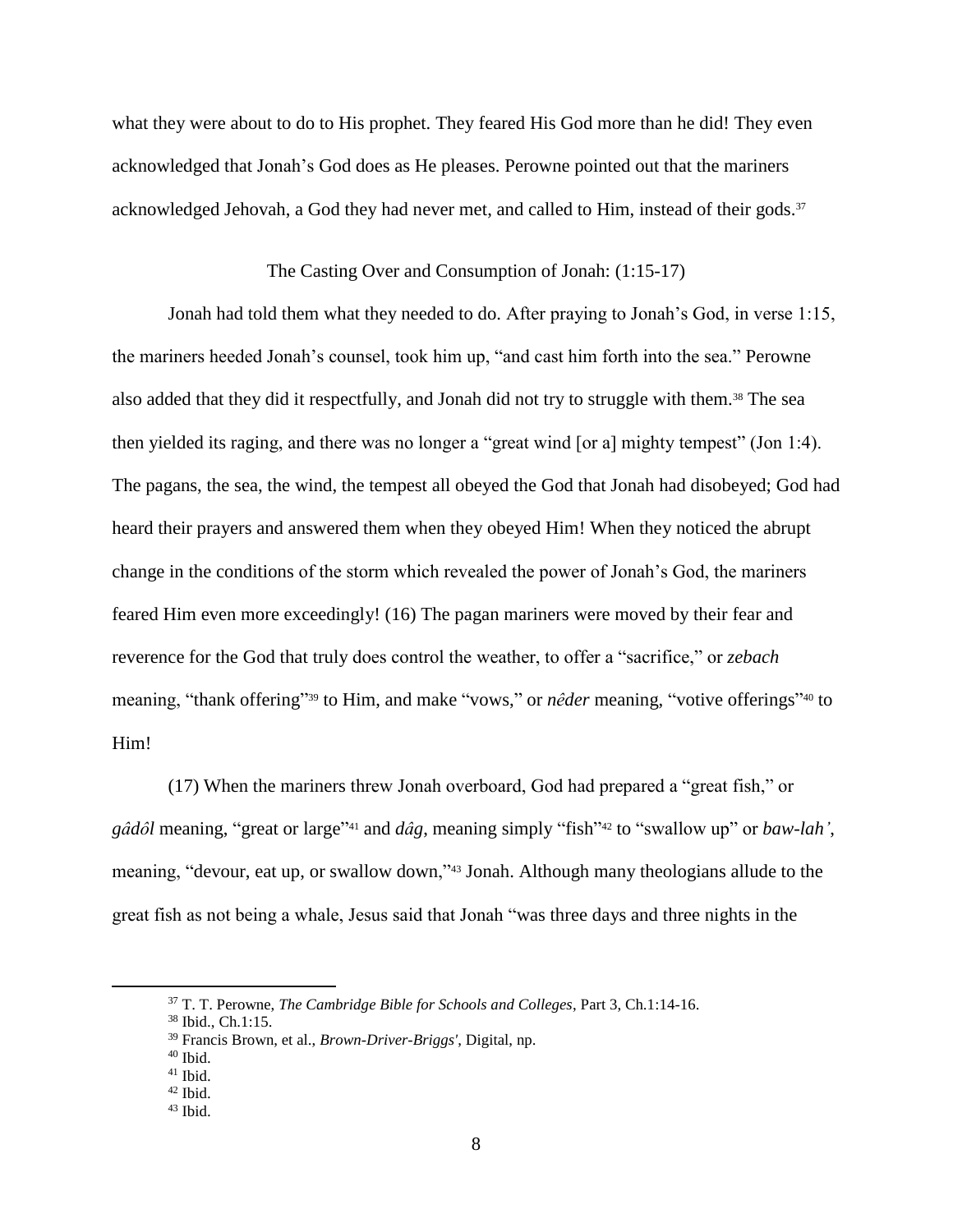what they were about to do to His prophet. They feared His God more than he did! They even acknowledged that Jonah's God does as He pleases. Perowne pointed out that the mariners acknowledged Jehovah, a God they had never met, and called to Him, instead of their gods.<sup>37</sup>

## The Casting Over and Consumption of Jonah: (1:15-17)

Jonah had told them what they needed to do. After praying to Jonah's God, in verse 1:15, the mariners heeded Jonah's counsel, took him up, "and cast him forth into the sea." Perowne also added that they did it respectfully, and Jonah did not try to struggle with them.<sup>38</sup> The sea then yielded its raging, and there was no longer a "great wind [or a] mighty tempest" (Jon 1:4). The pagans, the sea, the wind, the tempest all obeyed the God that Jonah had disobeyed; God had heard their prayers and answered them when they obeyed Him! When they noticed the abrupt change in the conditions of the storm which revealed the power of Jonah's God, the mariners feared Him even more exceedingly! (16) The pagan mariners were moved by their fear and reverence for the God that truly does control the weather, to offer a "sacrifice," or *zebach* meaning, "thank offering"<sup>39</sup> to Him, and make "vows," or *nêder* meaning, "votive offerings"<sup>40</sup> to Him!

(17) When the mariners threw Jonah overboard, God had prepared a "great fish," or *gâdôl* meaning, "great or large" <sup>41</sup> and *dâg*, meaning simply "fish" <sup>42</sup> to "swallow up" or *baw-lah'*, meaning, "devour, eat up, or swallow down,"<sup>43</sup> Jonah. Although many theologians allude to the great fish as not being a whale, Jesus said that Jonah "was three days and three nights in the

<sup>37</sup> T. T. Perowne, *The Cambridge Bible for Schools and Colleges*, Part 3, Ch.1:14-16.

<sup>38</sup> Ibid., Ch.1:15.

<sup>39</sup> Francis Brown, et al., *Brown-Driver-Briggs'*, Digital, np.

 $40$  Ibid.

<sup>41</sup> Ibid.

 $42$  Ibid.

 $43$  Ibid.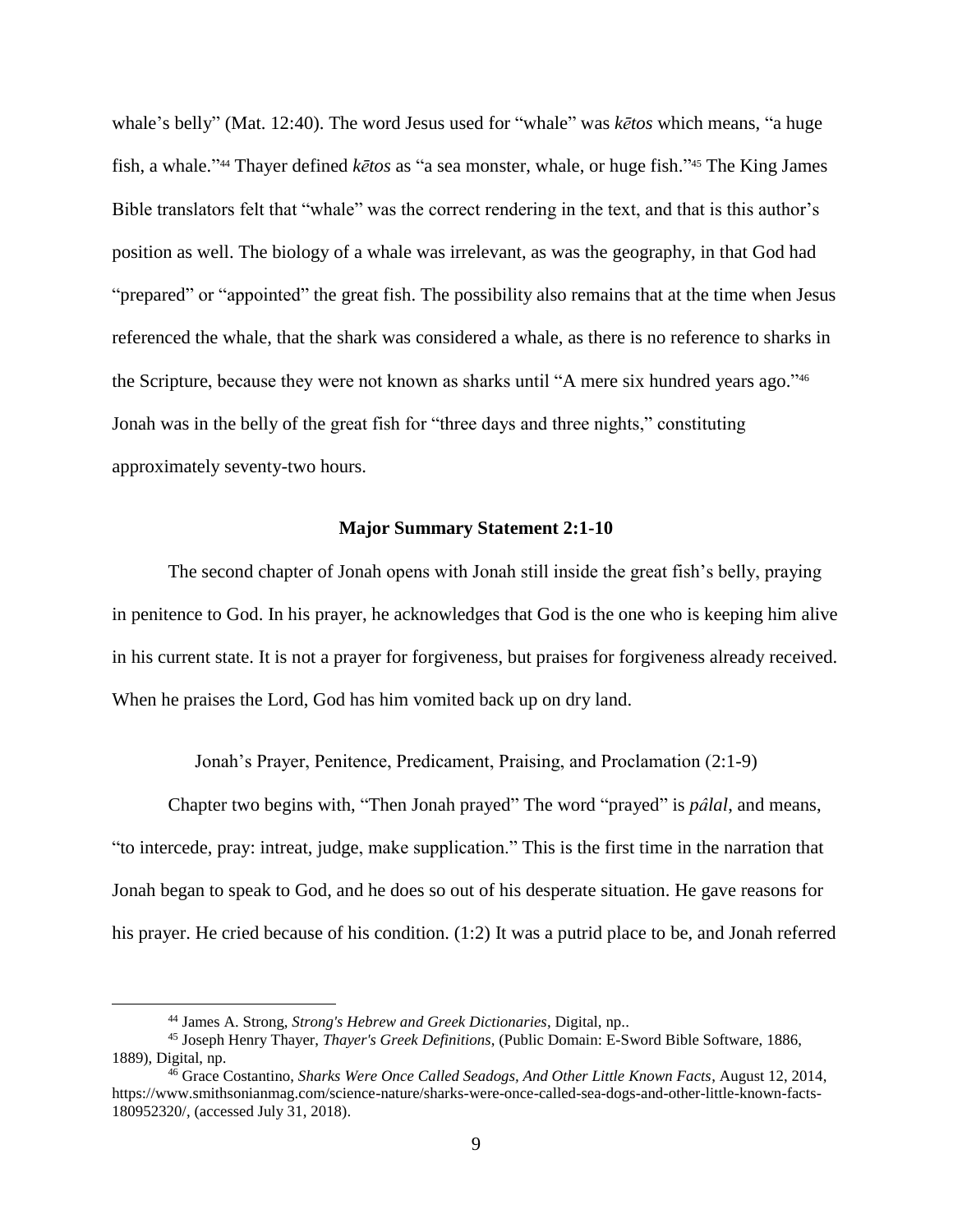whale's belly" (Mat. 12:40). The word Jesus used for "whale" was *kētos* which means, "a huge fish, a whale." <sup>44</sup> Thayer defined *kētos* as "a sea monster, whale, or huge fish." <sup>45</sup> The King James Bible translators felt that "whale" was the correct rendering in the text, and that is this author's position as well. The biology of a whale was irrelevant, as was the geography, in that God had "prepared" or "appointed" the great fish. The possibility also remains that at the time when Jesus referenced the whale, that the shark was considered a whale, as there is no reference to sharks in the Scripture, because they were not known as sharks until "A mere six hundred years ago." 46 Jonah was in the belly of the great fish for "three days and three nights," constituting approximately seventy-two hours.

#### **Major Summary Statement 2:1-10**

The second chapter of Jonah opens with Jonah still inside the great fish's belly, praying in penitence to God. In his prayer, he acknowledges that God is the one who is keeping him alive in his current state. It is not a prayer for forgiveness, but praises for forgiveness already received. When he praises the Lord, God has him vomited back up on dry land.

Jonah's Prayer, Penitence, Predicament, Praising, and Proclamation (2:1-9)

Chapter two begins with, "Then Jonah prayed" The word "prayed" is *pâlal*, and means, "to intercede, pray: intreat, judge, make supplication." This is the first time in the narration that Jonah began to speak to God, and he does so out of his desperate situation. He gave reasons for his prayer. He cried because of his condition. (1:2) It was a putrid place to be, and Jonah referred

<sup>44</sup> James A. Strong, *Strong's Hebrew and Greek Dictionaries*, Digital, np..

<sup>45</sup> Joseph Henry Thayer, *Thayer's Greek Definitions*, (Public Domain: E-Sword Bible Software, 1886, 1889), Digital, np.

<sup>46</sup> Grace Costantino, *Sharks Were Once Called Seadogs, And Other Little Known Facts*, August 12, 2014, https://www.smithsonianmag.com/science-nature/sharks-were-once-called-sea-dogs-and-other-little-known-facts-180952320/, (accessed July 31, 2018).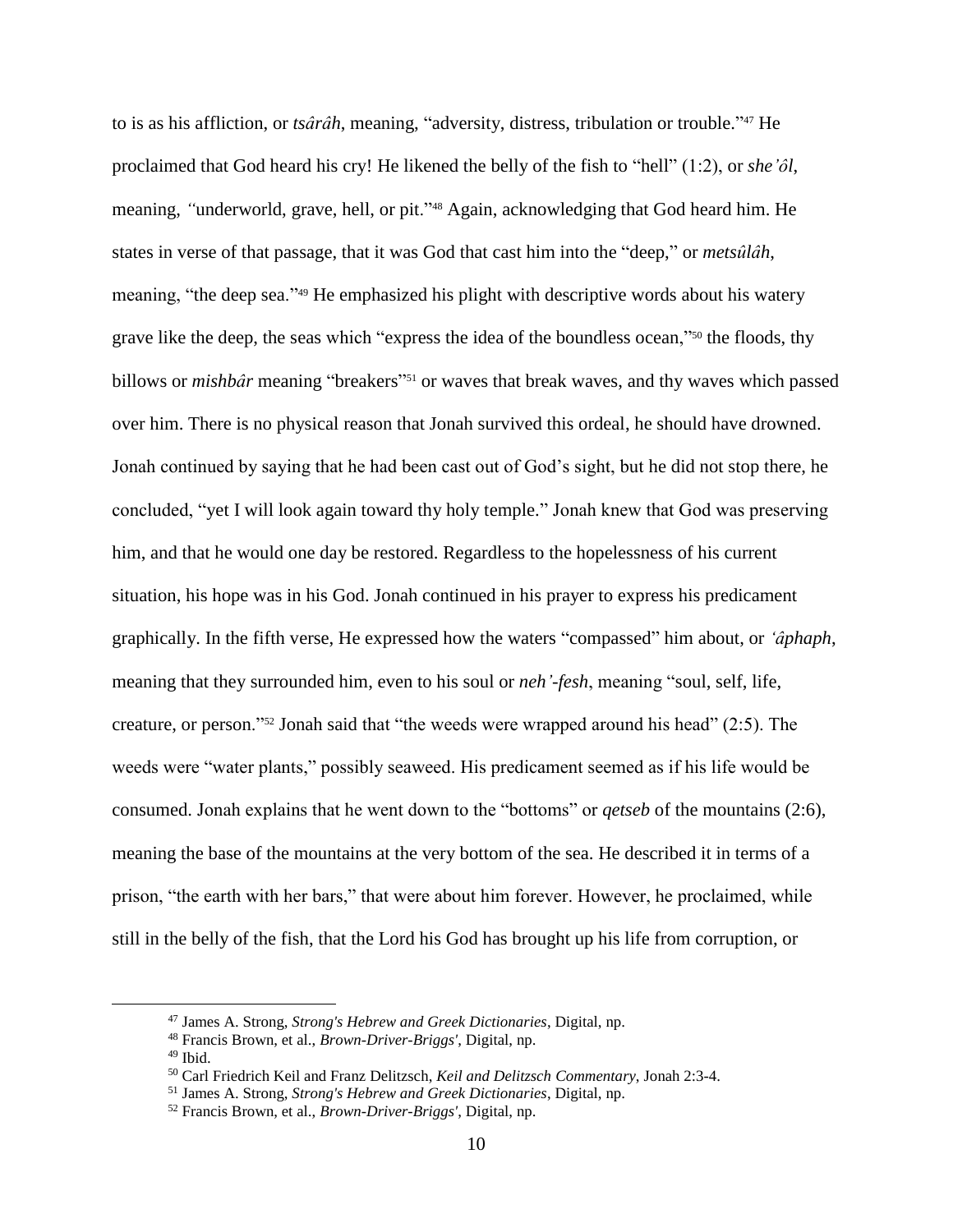to is as his affliction, or *tsârâh*, meaning, "adversity, distress, tribulation or trouble." <sup>47</sup> He proclaimed that God heard his cry! He likened the belly of the fish to "hell" (1:2), or *she'ôl*, meaning, *"*underworld, grave, hell, or pit."<sup>48</sup> Again, acknowledging that God heard him. He states in verse of that passage, that it was God that cast him into the "deep," or *metsûlâh*, meaning, "the deep sea."<sup>49</sup> He emphasized his plight with descriptive words about his watery grave like the deep, the seas which "express the idea of the boundless ocean,"<sup>50</sup> the floods, thy billows or *mishbâr* meaning "breakers" <sup>51</sup> or waves that break waves, and thy waves which passed over him. There is no physical reason that Jonah survived this ordeal, he should have drowned. Jonah continued by saying that he had been cast out of God's sight, but he did not stop there, he concluded, "yet I will look again toward thy holy temple." Jonah knew that God was preserving him, and that he would one day be restored. Regardless to the hopelessness of his current situation, his hope was in his God. Jonah continued in his prayer to express his predicament graphically. In the fifth verse, He expressed how the waters "compassed" him about, or *'âphaph*, meaning that they surrounded him, even to his soul or *neh'-fesh*, meaning "soul, self, life, creature, or person."<sup>52</sup> Jonah said that "the weeds were wrapped around his head" (2:5). The weeds were "water plants," possibly seaweed. His predicament seemed as if his life would be consumed. Jonah explains that he went down to the "bottoms" or *qetseb* of the mountains (2:6), meaning the base of the mountains at the very bottom of the sea. He described it in terms of a prison, "the earth with her bars," that were about him forever. However, he proclaimed, while still in the belly of the fish, that the Lord his God has brought up his life from corruption, or

<sup>47</sup> James A. Strong, *Strong's Hebrew and Greek Dictionaries*, Digital, np.

<sup>48</sup> Francis Brown, et al., *Brown-Driver-Briggs'*, Digital, np.

<sup>49</sup> Ibid.

<sup>50</sup> Carl Friedrich Keil and Franz Delitzsch, *Keil and Delitzsch Commentary*, Jonah 2:3-4.

<sup>51</sup> James A. Strong, *Strong's Hebrew and Greek Dictionaries*, Digital, np.

<sup>52</sup> Francis Brown, et al., *Brown-Driver-Briggs'*, Digital, np.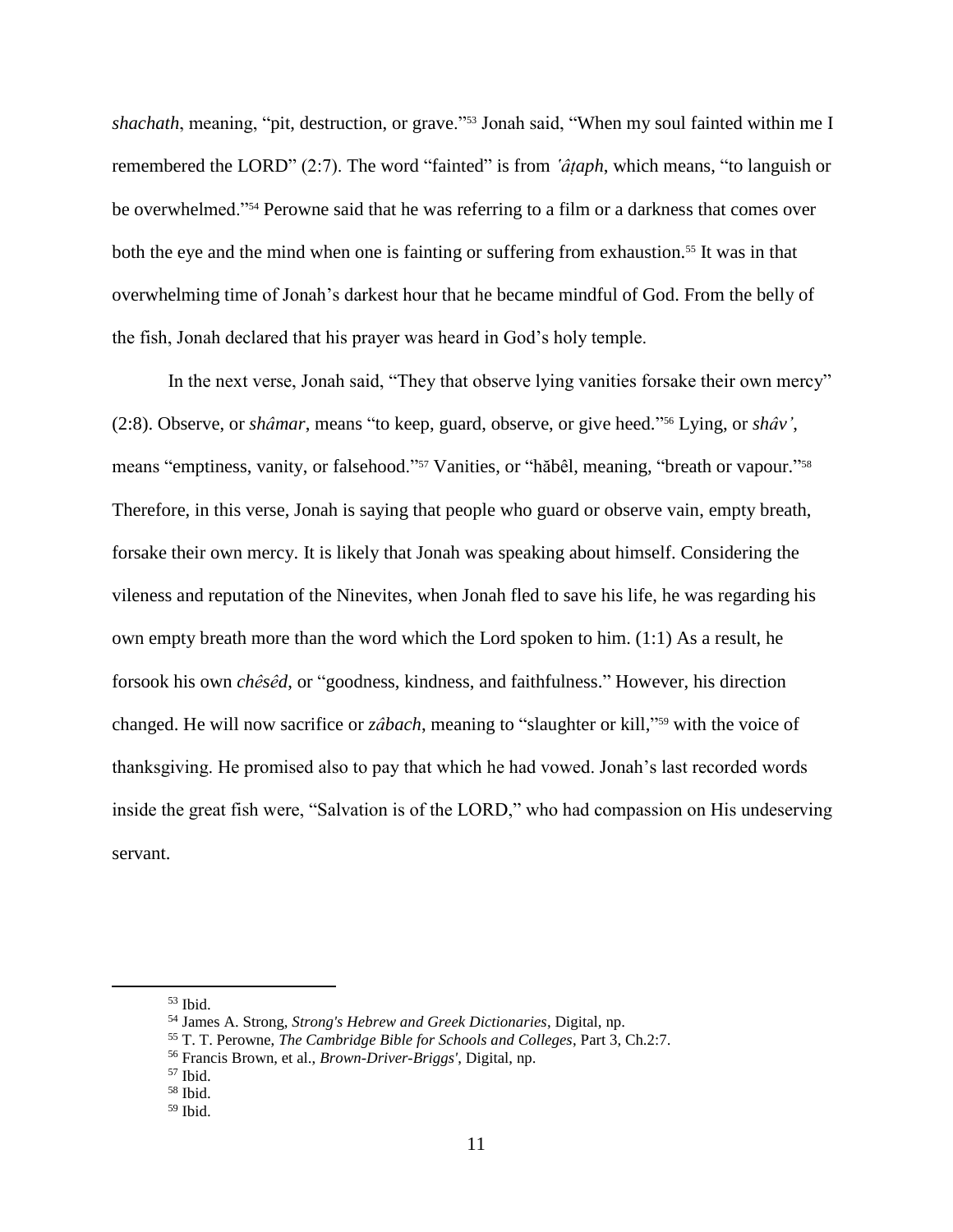*shachath*, meaning, "pit, destruction, or grave."<sup>53</sup> Jonah said, "When my soul fainted within me I remembered the LORD" (2:7). The word "fainted" is from *'âṭaph*, which means, "to languish or be overwhelmed."<sup>54</sup> Perowne said that he was referring to a film or a darkness that comes over both the eye and the mind when one is fainting or suffering from exhaustion.<sup>55</sup> It was in that overwhelming time of Jonah's darkest hour that he became mindful of God. From the belly of the fish, Jonah declared that his prayer was heard in God's holy temple.

In the next verse, Jonah said, "They that observe lying vanities forsake their own mercy" (2:8). Observe, or *shâmar*, means "to keep, guard, observe, or give heed." <sup>56</sup> Lying, or *shâv'*, means "emptiness, vanity, or falsehood."<sup>57</sup> Vanities, or "hăbêl, meaning, "breath or vapour."<sup>58</sup> Therefore, in this verse, Jonah is saying that people who guard or observe vain, empty breath, forsake their own mercy. It is likely that Jonah was speaking about himself. Considering the vileness and reputation of the Ninevites, when Jonah fled to save his life, he was regarding his own empty breath more than the word which the Lord spoken to him. (1:1) As a result, he forsook his own *chêsêd*, or "goodness, kindness, and faithfulness." However, his direction changed. He will now sacrifice or *zâbach*, meaning to "slaughter or kill,"<sup>59</sup> with the voice of thanksgiving. He promised also to pay that which he had vowed. Jonah's last recorded words inside the great fish were, "Salvation is of the LORD," who had compassion on His undeserving servant.

 $53$  Ibid.

<sup>54</sup> James A. Strong, *Strong's Hebrew and Greek Dictionaries*, Digital, np.

<sup>55</sup> T. T. Perowne, *The Cambridge Bible for Schools and Colleges*, Part 3, Ch.2:7.

<sup>56</sup> Francis Brown, et al., *Brown-Driver-Briggs'*, Digital, np.

 $57$  Ibid.

 $58$  Ibid.

 $59$  Ibid.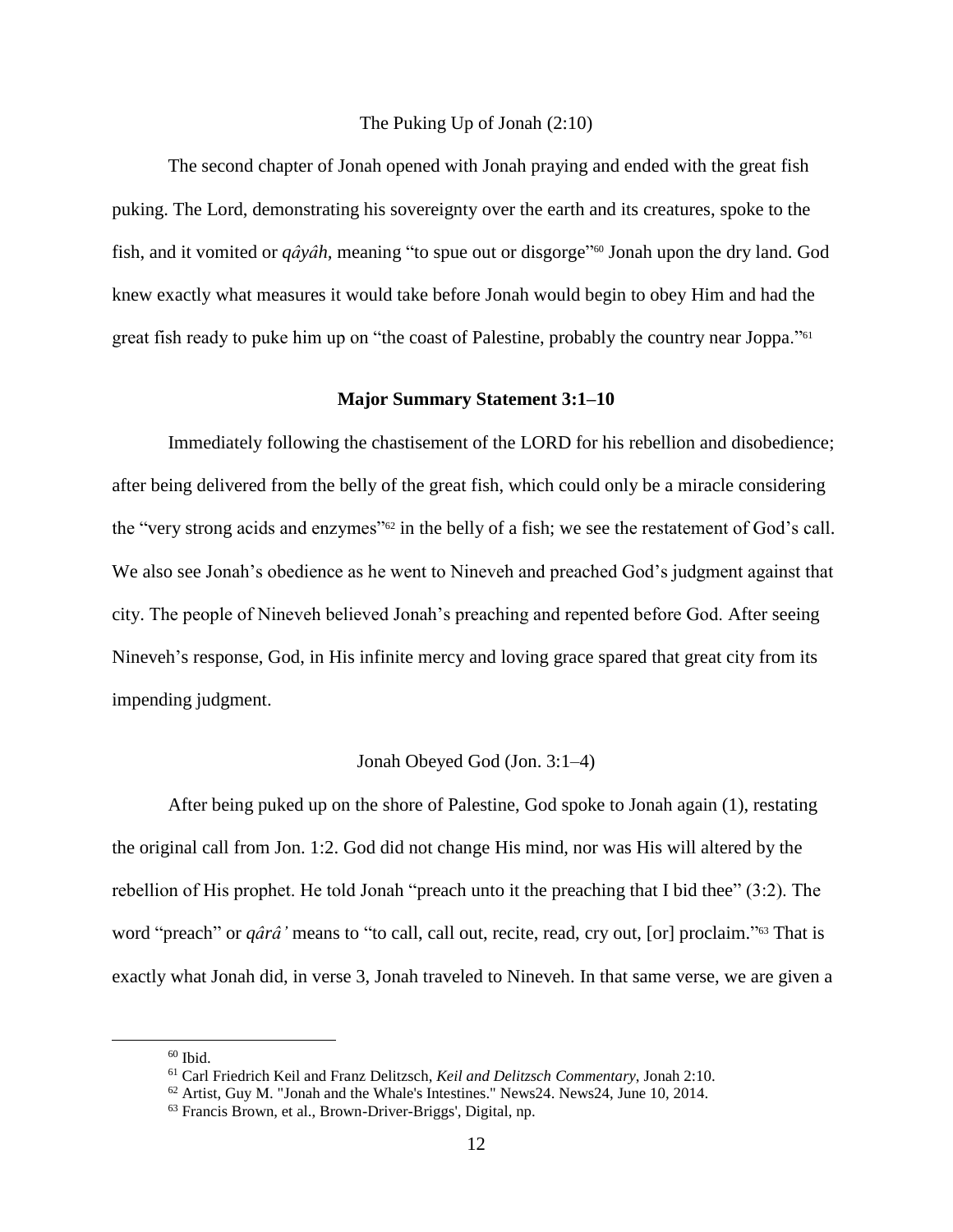# The Puking Up of Jonah (2:10)

The second chapter of Jonah opened with Jonah praying and ended with the great fish puking. The Lord, demonstrating his sovereignty over the earth and its creatures, spoke to the fish, and it vomited or *qâyâh,* meaning "to spue out or disgorge" <sup>60</sup> Jonah upon the dry land. God knew exactly what measures it would take before Jonah would begin to obey Him and had the great fish ready to puke him up on "the coast of Palestine, probably the country near Joppa."<sup>61</sup>

#### **Major Summary Statement 3:1–10**

Immediately following the chastisement of the LORD for his rebellion and disobedience; after being delivered from the belly of the great fish, which could only be a miracle considering the "very strong acids and enzymes"<sup>62</sup> in the belly of a fish; we see the restatement of God's call. We also see Jonah's obedience as he went to Nineveh and preached God's judgment against that city. The people of Nineveh believed Jonah's preaching and repented before God. After seeing Nineveh's response, God, in His infinite mercy and loving grace spared that great city from its impending judgment.

# Jonah Obeyed God (Jon. 3:1–4)

After being puked up on the shore of Palestine, God spoke to Jonah again (1), restating the original call from Jon. 1:2. God did not change His mind, nor was His will altered by the rebellion of His prophet. He told Jonah "preach unto it the preaching that I bid thee" (3:2). The word "preach" or *qârâ'* means to "to call, call out, recite, read, cry out, [or] proclaim." <sup>63</sup> That is exactly what Jonah did, in verse 3, Jonah traveled to Nineveh. In that same verse, we are given a

 $60$  Ibid.

<sup>61</sup> Carl Friedrich Keil and Franz Delitzsch, *Keil and Delitzsch Commentary*, Jonah 2:10.

<sup>62</sup> Artist, Guy M. "Jonah and the Whale's Intestines." News24. News24, June 10, 2014.

<sup>63</sup> Francis Brown, et al., Brown-Driver-Briggs', Digital, np.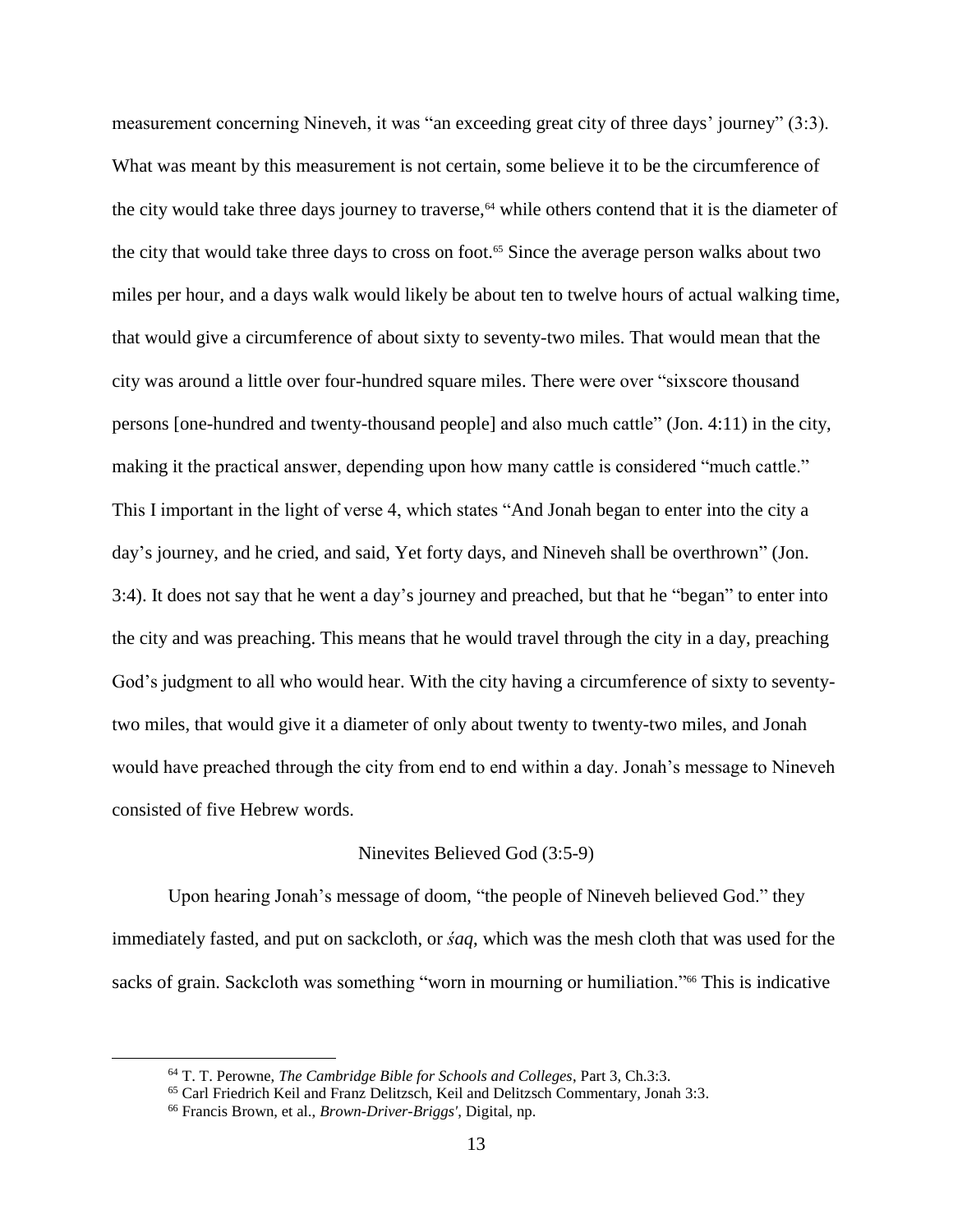measurement concerning Nineveh, it was "an exceeding great city of three days' journey" (3:3). What was meant by this measurement is not certain, some believe it to be the circumference of the city would take three days journey to traverse,<sup>64</sup> while others contend that it is the diameter of the city that would take three days to cross on foot.<sup>65</sup> Since the average person walks about two miles per hour, and a days walk would likely be about ten to twelve hours of actual walking time, that would give a circumference of about sixty to seventy-two miles. That would mean that the city was around a little over four-hundred square miles. There were over "sixscore thousand persons [one-hundred and twenty-thousand people] and also much cattle" (Jon. 4:11) in the city, making it the practical answer, depending upon how many cattle is considered "much cattle." This I important in the light of verse 4, which states "And Jonah began to enter into the city a day's journey, and he cried, and said, Yet forty days, and Nineveh shall be overthrown" (Jon. 3:4). It does not say that he went a day's journey and preached, but that he "began" to enter into the city and was preaching. This means that he would travel through the city in a day, preaching God's judgment to all who would hear. With the city having a circumference of sixty to seventytwo miles, that would give it a diameter of only about twenty to twenty-two miles, and Jonah would have preached through the city from end to end within a day. Jonah's message to Nineveh consisted of five Hebrew words.

#### Ninevites Believed God (3:5-9)

Upon hearing Jonah's message of doom, "the people of Nineveh believed God." they immediately fasted, and put on sackcloth, or *śaq*, which was the mesh cloth that was used for the sacks of grain. Sackcloth was something "worn in mourning or humiliation."<sup>66</sup> This is indicative

<sup>64</sup> T. T. Perowne, *The Cambridge Bible for Schools and Colleges*, Part 3, Ch.3:3.

<sup>65</sup> Carl Friedrich Keil and Franz Delitzsch, Keil and Delitzsch Commentary, Jonah 3:3.

<sup>66</sup> Francis Brown, et al., *Brown-Driver-Briggs'*, Digital, np.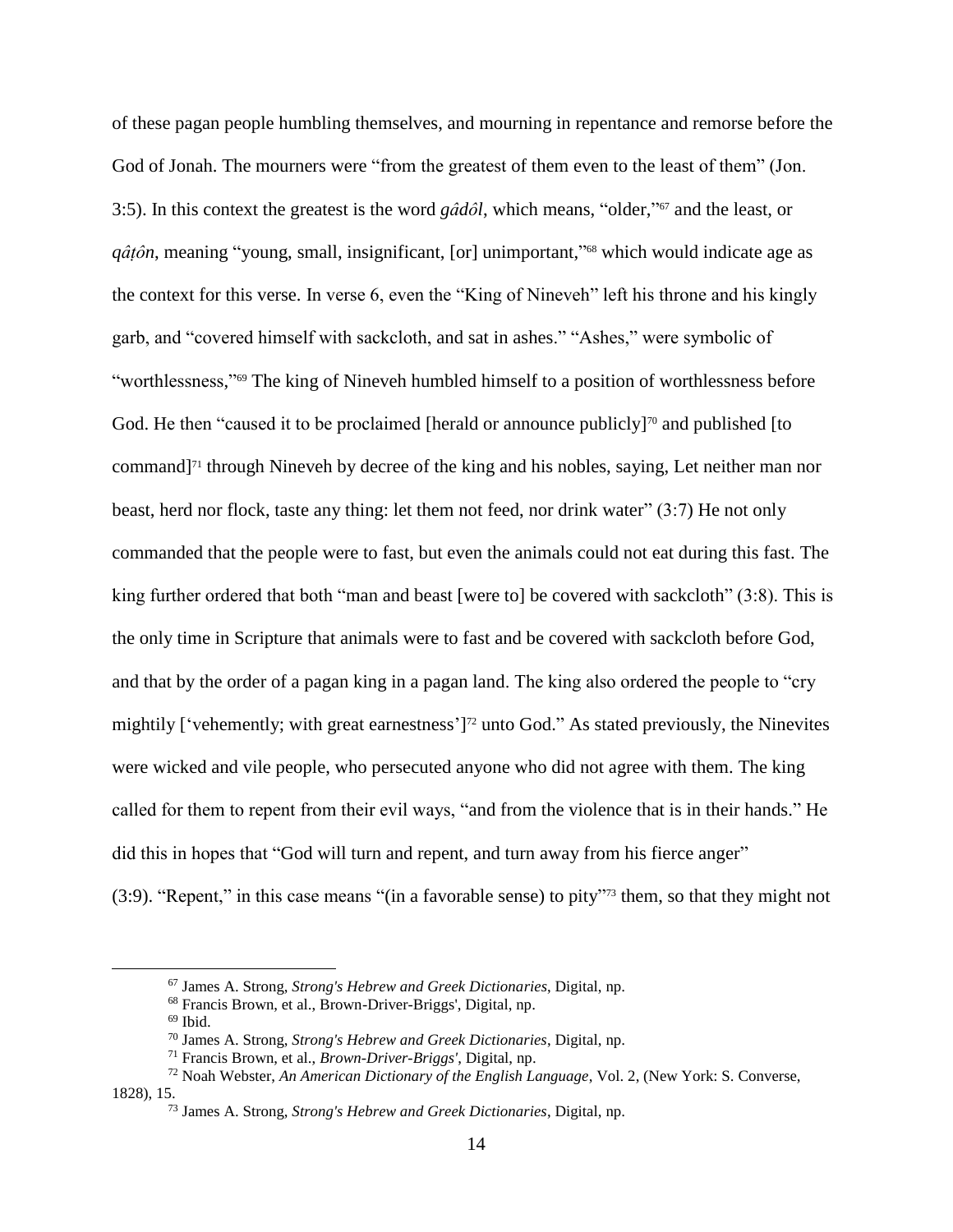of these pagan people humbling themselves, and mourning in repentance and remorse before the God of Jonah. The mourners were "from the greatest of them even to the least of them" (Jon. 3:5). In this context the greatest is the word *gâdôl*, which means, "older," <sup>67</sup> and the least, or *qâṭôn*, meaning "young, small, insignificant, [or] unimportant," <sup>68</sup> which would indicate age as the context for this verse. In verse 6, even the "King of Nineveh" left his throne and his kingly garb, and "covered himself with sackcloth, and sat in ashes." "Ashes," were symbolic of "worthlessness,"<sup>69</sup> The king of Nineveh humbled himself to a position of worthlessness before God. He then "caused it to be proclaimed [herald or announce publicly]<sup>70</sup> and published [to command]<sup>71</sup> through Nineveh by decree of the king and his nobles, saying, Let neither man nor beast, herd nor flock, taste any thing: let them not feed, nor drink water" (3:7) He not only commanded that the people were to fast, but even the animals could not eat during this fast. The king further ordered that both "man and beast [were to] be covered with sackcloth" (3:8). This is the only time in Scripture that animals were to fast and be covered with sackcloth before God, and that by the order of a pagan king in a pagan land. The king also ordered the people to "cry mightily ['vehemently; with great earnestness'] <sup>72</sup> unto God." As stated previously, the Ninevites were wicked and vile people, who persecuted anyone who did not agree with them. The king called for them to repent from their evil ways, "and from the violence that is in their hands." He did this in hopes that "God will turn and repent, and turn away from his fierce anger" (3:9). "Repent," in this case means "(in a favorable sense) to pity" <sup>73</sup> them, so that they might not

<sup>67</sup> James A. Strong, *Strong's Hebrew and Greek Dictionaries*, Digital, np.

<sup>68</sup> Francis Brown, et al., Brown-Driver-Briggs', Digital, np.

 $69$  Ibid.

<sup>70</sup> James A. Strong, *Strong's Hebrew and Greek Dictionaries*, Digital, np.

<sup>71</sup> Francis Brown, et al., *Brown-Driver-Briggs'*, Digital, np.

<sup>72</sup> Noah Webster, *An American Dictionary of the English Language*, Vol. 2, (New York: S. Converse, 1828), 15.

<sup>73</sup> James A. Strong, *Strong's Hebrew and Greek Dictionaries*, Digital, np.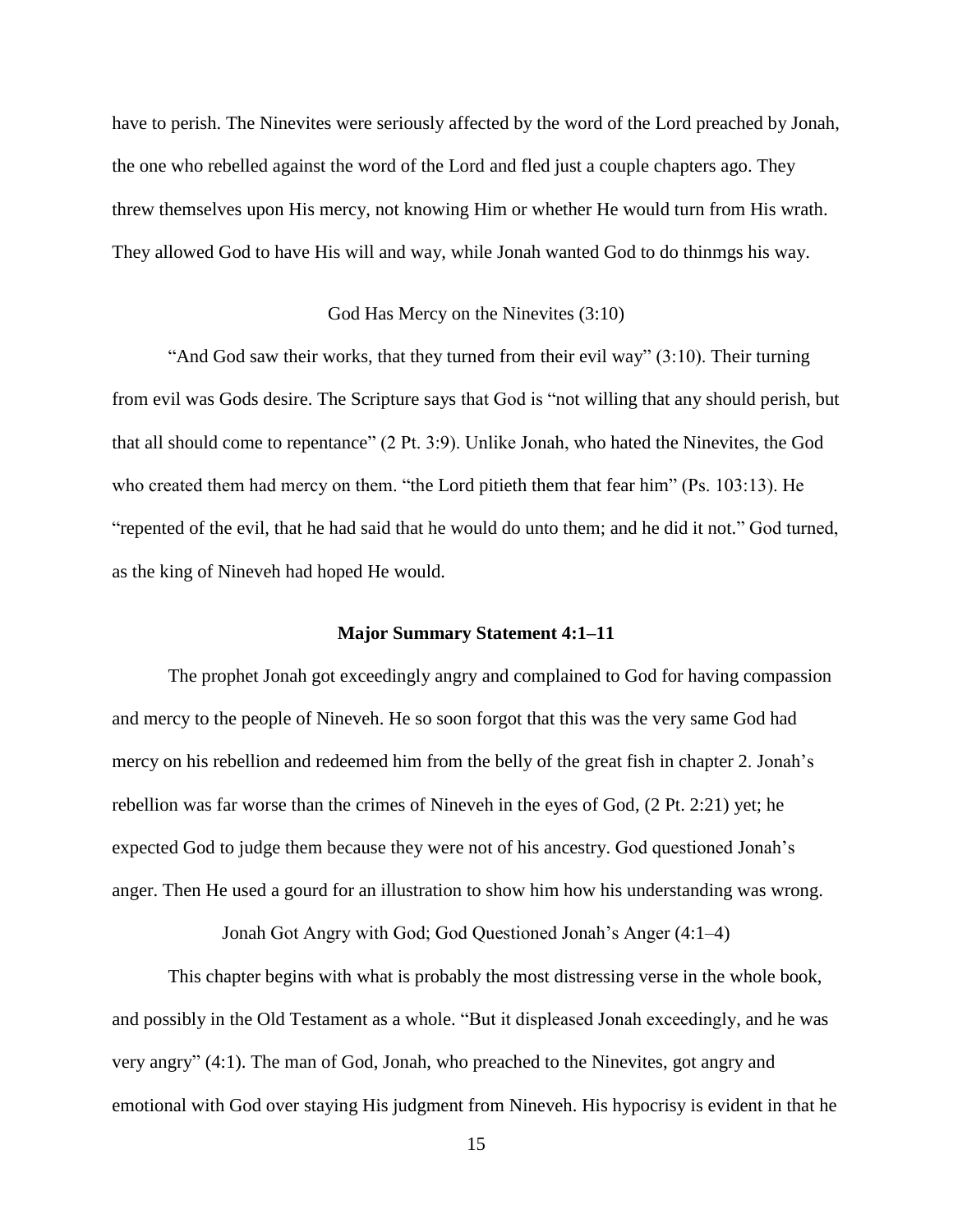have to perish. The Ninevites were seriously affected by the word of the Lord preached by Jonah, the one who rebelled against the word of the Lord and fled just a couple chapters ago. They threw themselves upon His mercy, not knowing Him or whether He would turn from His wrath. They allowed God to have His will and way, while Jonah wanted God to do thinmgs his way.

#### God Has Mercy on the Ninevites (3:10)

"And God saw their works, that they turned from their evil way" (3:10). Their turning from evil was Gods desire. The Scripture says that God is "not willing that any should perish, but that all should come to repentance" (2 Pt. 3:9). Unlike Jonah, who hated the Ninevites, the God who created them had mercy on them. "the Lord pitieth them that fear him" (Ps. 103:13). He "repented of the evil, that he had said that he would do unto them; and he did it not." God turned, as the king of Nineveh had hoped He would.

# **Major Summary Statement 4:1–11**

The prophet Jonah got exceedingly angry and complained to God for having compassion and mercy to the people of Nineveh. He so soon forgot that this was the very same God had mercy on his rebellion and redeemed him from the belly of the great fish in chapter 2. Jonah's rebellion was far worse than the crimes of Nineveh in the eyes of God, (2 Pt. 2:21) yet; he expected God to judge them because they were not of his ancestry. God questioned Jonah's anger. Then He used a gourd for an illustration to show him how his understanding was wrong.

Jonah Got Angry with God; God Questioned Jonah's Anger (4:1–4)

This chapter begins with what is probably the most distressing verse in the whole book, and possibly in the Old Testament as a whole. "But it displeased Jonah exceedingly, and he was very angry" (4:1). The man of God, Jonah, who preached to the Ninevites, got angry and emotional with God over staying His judgment from Nineveh. His hypocrisy is evident in that he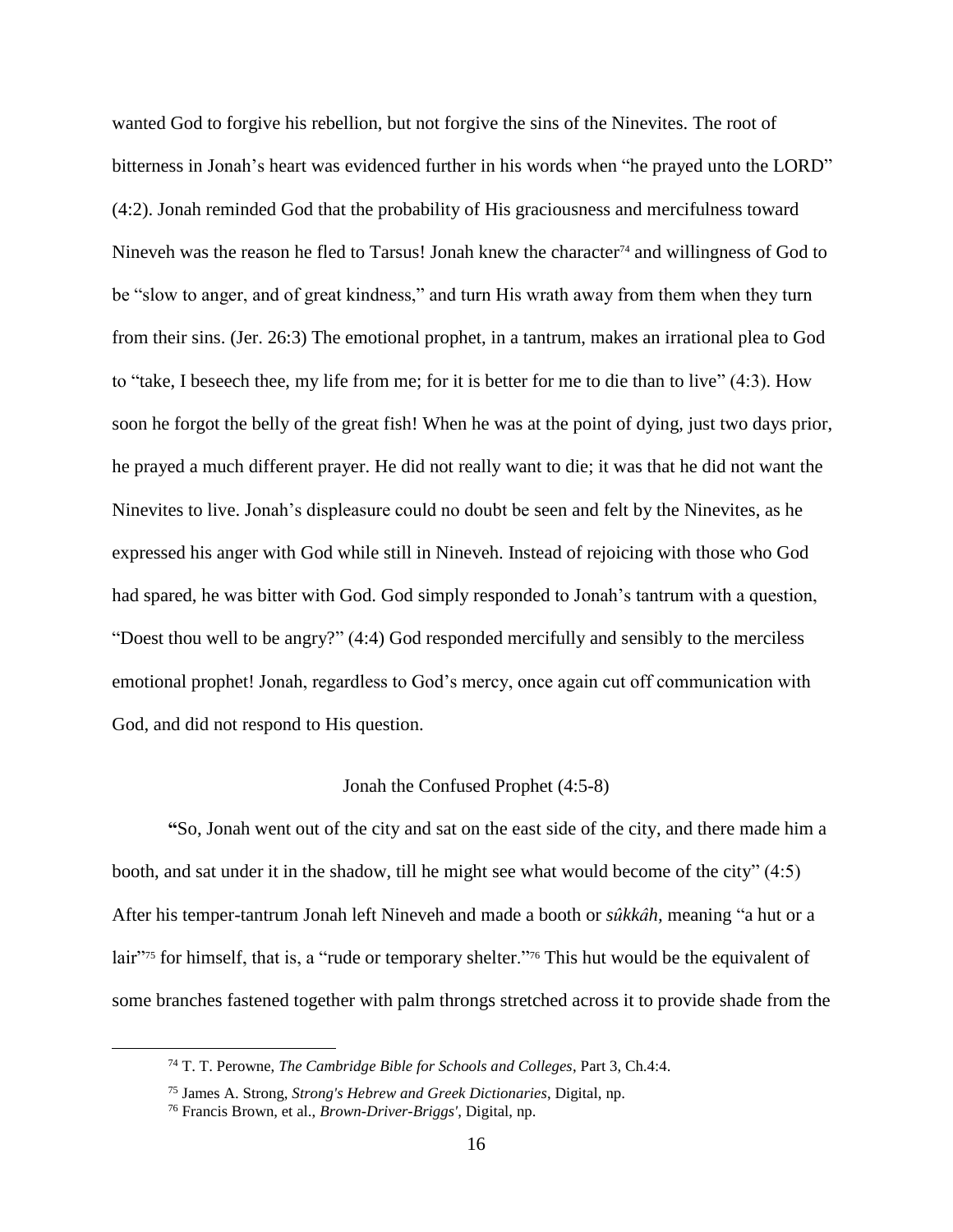wanted God to forgive his rebellion, but not forgive the sins of the Ninevites. The root of bitterness in Jonah's heart was evidenced further in his words when "he prayed unto the LORD" (4:2). Jonah reminded God that the probability of His graciousness and mercifulness toward Nineveh was the reason he fled to Tarsus! Jonah knew the character<sup>74</sup> and willingness of God to be "slow to anger, and of great kindness," and turn His wrath away from them when they turn from their sins. (Jer. 26:3) The emotional prophet, in a tantrum, makes an irrational plea to God to "take, I beseech thee, my life from me; for it is better for me to die than to live" (4:3). How soon he forgot the belly of the great fish! When he was at the point of dying, just two days prior, he prayed a much different prayer. He did not really want to die; it was that he did not want the Ninevites to live. Jonah's displeasure could no doubt be seen and felt by the Ninevites, as he expressed his anger with God while still in Nineveh. Instead of rejoicing with those who God had spared, he was bitter with God. God simply responded to Jonah's tantrum with a question, "Doest thou well to be angry?" (4:4) God responded mercifully and sensibly to the merciless emotional prophet! Jonah, regardless to God's mercy, once again cut off communication with God, and did not respond to His question.

## Jonah the Confused Prophet (4:5-8)

**"**So, Jonah went out of the city and sat on the east side of the city, and there made him a booth, and sat under it in the shadow, till he might see what would become of the city" (4:5) After his temper-tantrum Jonah left Nineveh and made a booth or *sûkkâh,* meaning "a hut or a lair"<sup>75</sup> for himself, that is, a "rude or temporary shelter."<sup>76</sup> This hut would be the equivalent of some branches fastened together with palm throngs stretched across it to provide shade from the

<sup>74</sup> T. T. Perowne, *The Cambridge Bible for Schools and Colleges*, Part 3, Ch.4:4.

<sup>75</sup> James A. Strong, *Strong's Hebrew and Greek Dictionaries*, Digital, np.

<sup>76</sup> Francis Brown, et al., *Brown-Driver-Briggs'*, Digital, np.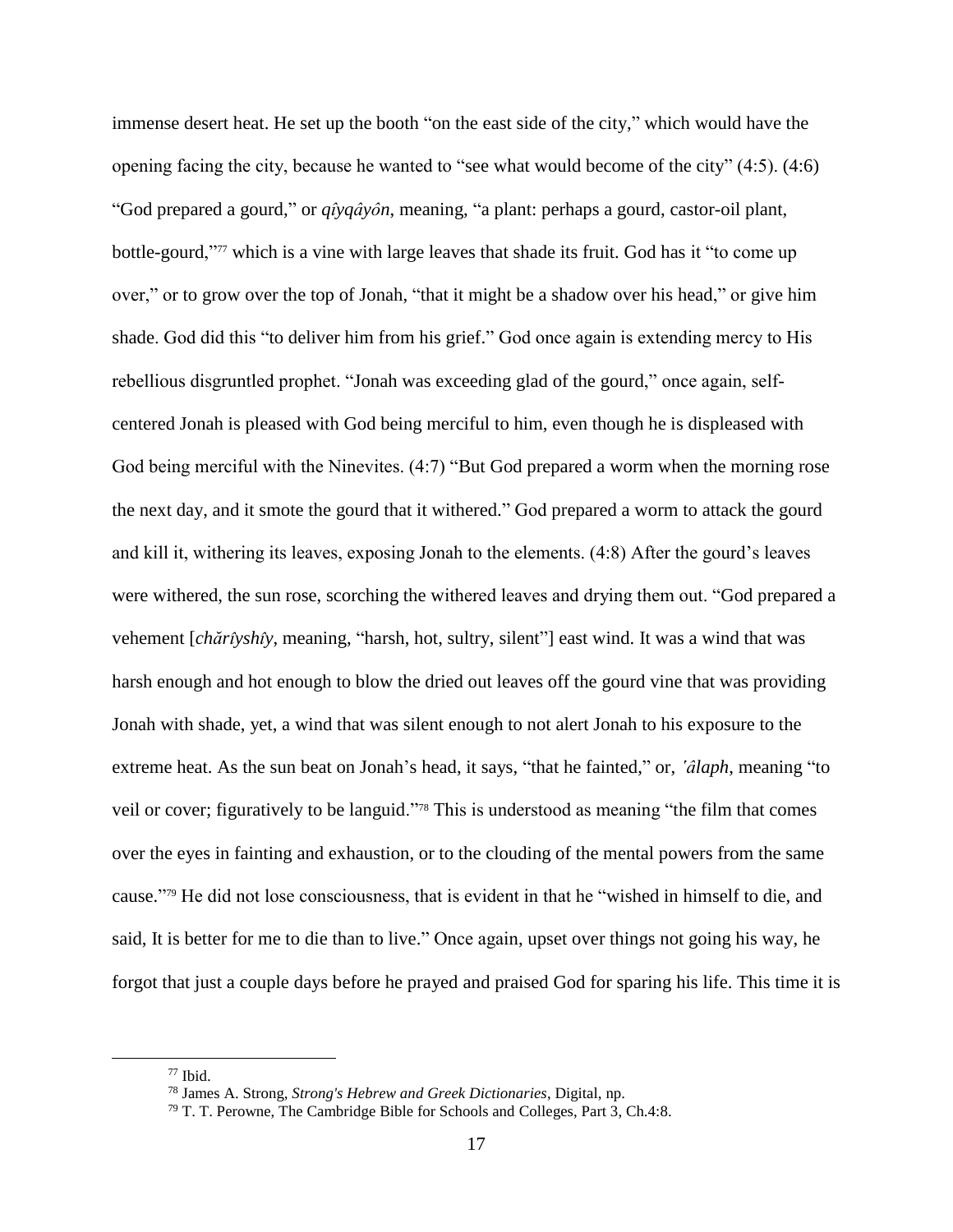immense desert heat. He set up the booth "on the east side of the city," which would have the opening facing the city, because he wanted to "see what would become of the city" (4:5). (4:6) "God prepared a gourd," or *qı̂yqâyôn*, meaning, "a plant: perhaps a gourd, castor-oil plant, bottle-gourd,"<sup>77</sup> which is a vine with large leaves that shade its fruit. God has it "to come up over," or to grow over the top of Jonah, "that it might be a shadow over his head," or give him shade. God did this "to deliver him from his grief." God once again is extending mercy to His rebellious disgruntled prophet. "Jonah was exceeding glad of the gourd," once again, selfcentered Jonah is pleased with God being merciful to him, even though he is displeased with God being merciful with the Ninevites. (4:7) "But God prepared a worm when the morning rose the next day, and it smote the gourd that it withered." God prepared a worm to attack the gourd and kill it, withering its leaves, exposing Jonah to the elements. (4:8) After the gourd's leaves were withered, the sun rose, scorching the withered leaves and drying them out. "God prepared a vehement [*chărı̂yshı̂y*, meaning, "harsh, hot, sultry, silent"] east wind. It was a wind that was harsh enough and hot enough to blow the dried out leaves off the gourd vine that was providing Jonah with shade, yet, a wind that was silent enough to not alert Jonah to his exposure to the extreme heat. As the sun beat on Jonah's head, it says, "that he fainted," or, *'âlaph*, meaning "to veil or cover; figuratively to be languid."<sup>78</sup> This is understood as meaning "the film that comes over the eyes in fainting and exhaustion, or to the clouding of the mental powers from the same cause." <sup>79</sup> He did not lose consciousness, that is evident in that he "wished in himself to die, and said, It is better for me to die than to live." Once again, upset over things not going his way, he forgot that just a couple days before he prayed and praised God for sparing his life. This time it is

<sup>77</sup> Ibid.

<sup>78</sup> James A. Strong, *Strong's Hebrew and Greek Dictionaries*, Digital, np.

<sup>79</sup> T. T. Perowne, The Cambridge Bible for Schools and Colleges, Part 3, Ch.4:8.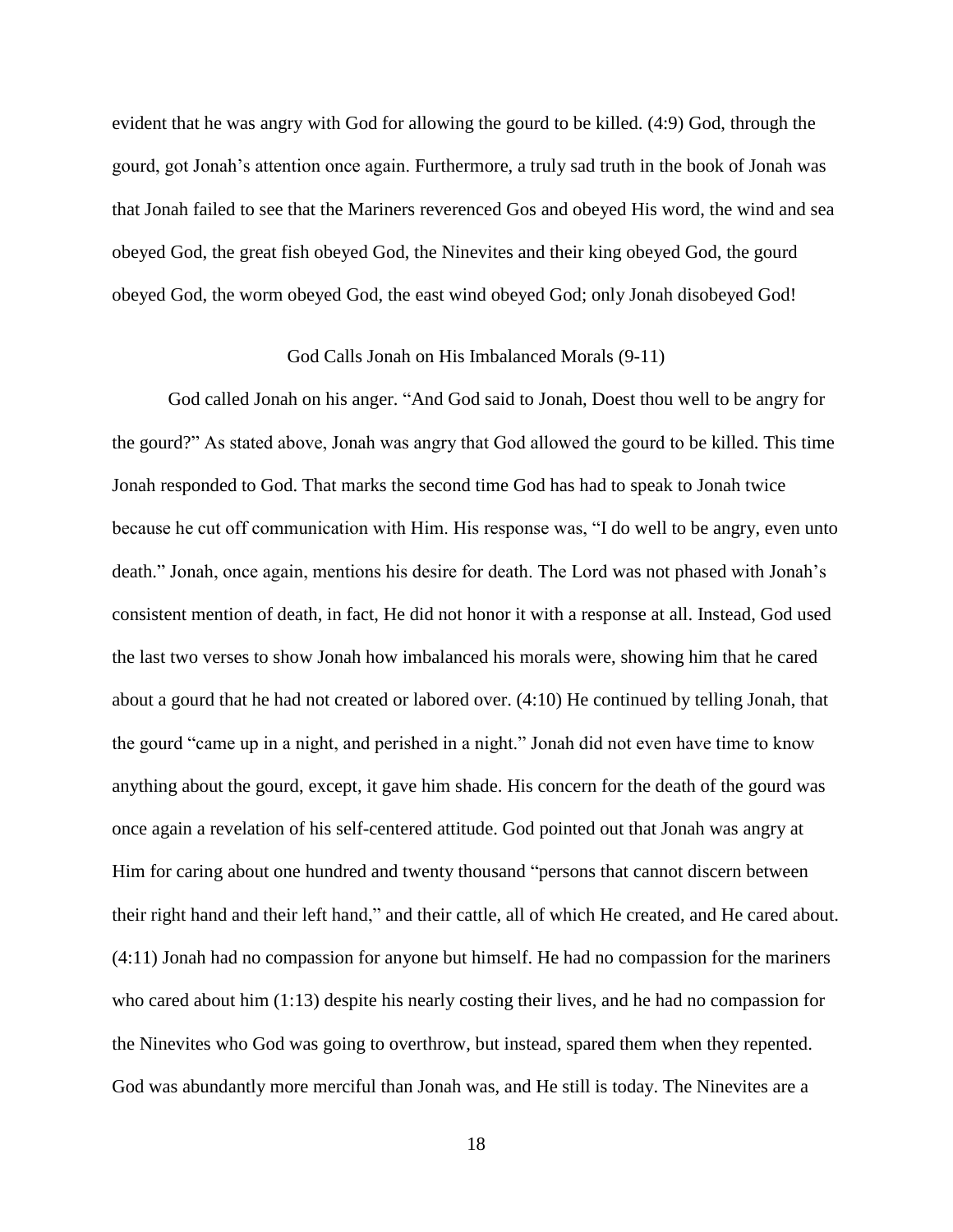evident that he was angry with God for allowing the gourd to be killed. (4:9) God, through the gourd, got Jonah's attention once again. Furthermore, a truly sad truth in the book of Jonah was that Jonah failed to see that the Mariners reverenced Gos and obeyed His word, the wind and sea obeyed God, the great fish obeyed God, the Ninevites and their king obeyed God, the gourd obeyed God, the worm obeyed God, the east wind obeyed God; only Jonah disobeyed God!

#### God Calls Jonah on His Imbalanced Morals (9-11)

God called Jonah on his anger. "And God said to Jonah, Doest thou well to be angry for the gourd?" As stated above, Jonah was angry that God allowed the gourd to be killed. This time Jonah responded to God. That marks the second time God has had to speak to Jonah twice because he cut off communication with Him. His response was, "I do well to be angry, even unto death." Jonah, once again, mentions his desire for death. The Lord was not phased with Jonah's consistent mention of death, in fact, He did not honor it with a response at all. Instead, God used the last two verses to show Jonah how imbalanced his morals were, showing him that he cared about a gourd that he had not created or labored over. (4:10) He continued by telling Jonah, that the gourd "came up in a night, and perished in a night." Jonah did not even have time to know anything about the gourd, except, it gave him shade. His concern for the death of the gourd was once again a revelation of his self-centered attitude. God pointed out that Jonah was angry at Him for caring about one hundred and twenty thousand "persons that cannot discern between their right hand and their left hand," and their cattle, all of which He created, and He cared about. (4:11) Jonah had no compassion for anyone but himself. He had no compassion for the mariners who cared about him (1:13) despite his nearly costing their lives, and he had no compassion for the Ninevites who God was going to overthrow, but instead, spared them when they repented. God was abundantly more merciful than Jonah was, and He still is today. The Ninevites are a

18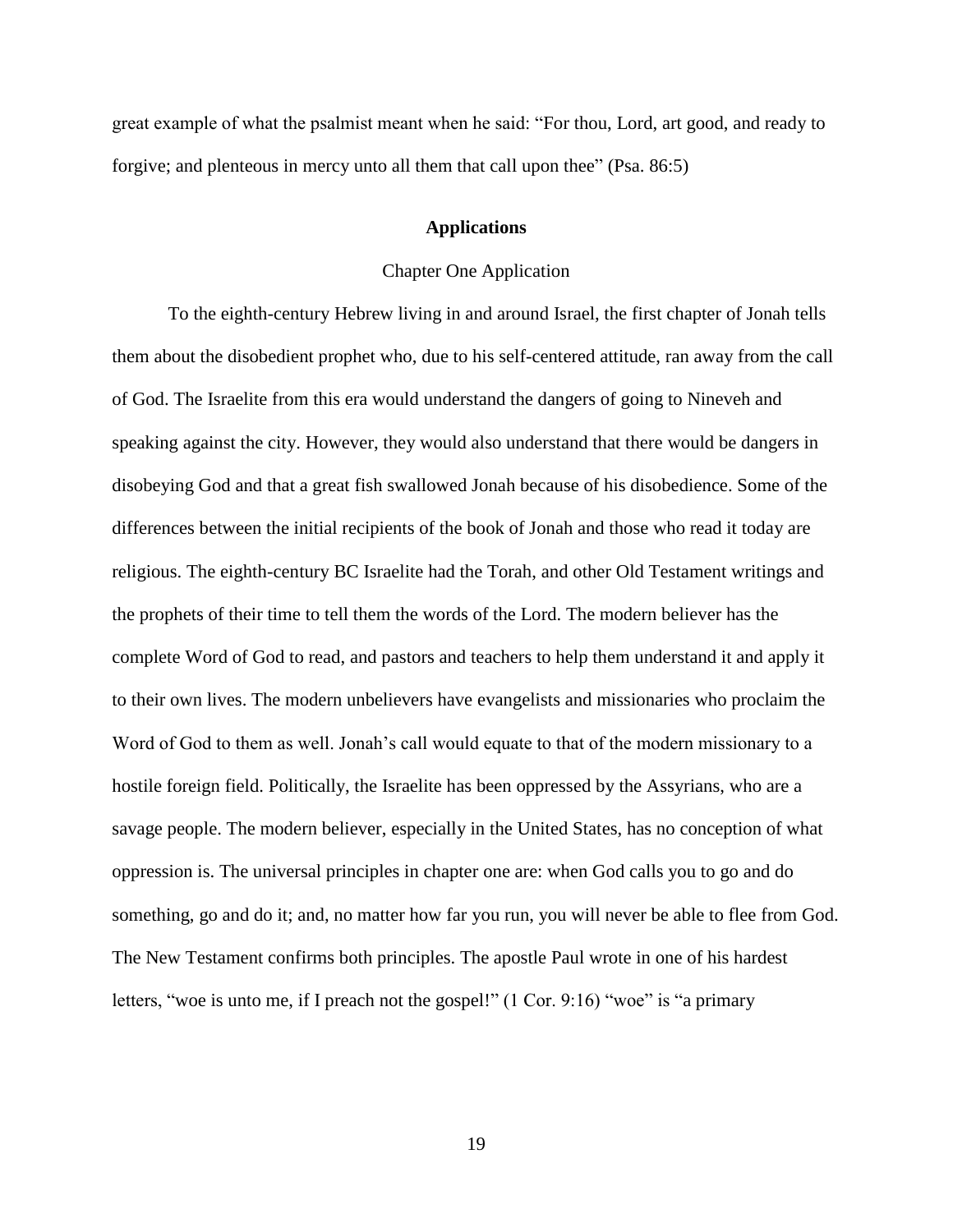great example of what the psalmist meant when he said: "For thou, Lord, art good, and ready to forgive; and plenteous in mercy unto all them that call upon thee" (Psa. 86:5)

#### **Applications**

#### Chapter One Application

To the eighth-century Hebrew living in and around Israel, the first chapter of Jonah tells them about the disobedient prophet who, due to his self-centered attitude, ran away from the call of God. The Israelite from this era would understand the dangers of going to Nineveh and speaking against the city. However, they would also understand that there would be dangers in disobeying God and that a great fish swallowed Jonah because of his disobedience. Some of the differences between the initial recipients of the book of Jonah and those who read it today are religious. The eighth-century BC Israelite had the Torah, and other Old Testament writings and the prophets of their time to tell them the words of the Lord. The modern believer has the complete Word of God to read, and pastors and teachers to help them understand it and apply it to their own lives. The modern unbelievers have evangelists and missionaries who proclaim the Word of God to them as well. Jonah's call would equate to that of the modern missionary to a hostile foreign field. Politically, the Israelite has been oppressed by the Assyrians, who are a savage people. The modern believer, especially in the United States, has no conception of what oppression is. The universal principles in chapter one are: when God calls you to go and do something, go and do it; and, no matter how far you run, you will never be able to flee from God. The New Testament confirms both principles. The apostle Paul wrote in one of his hardest letters, "woe is unto me, if I preach not the gospel!" (1 Cor. 9:16) "woe" is "a primary

19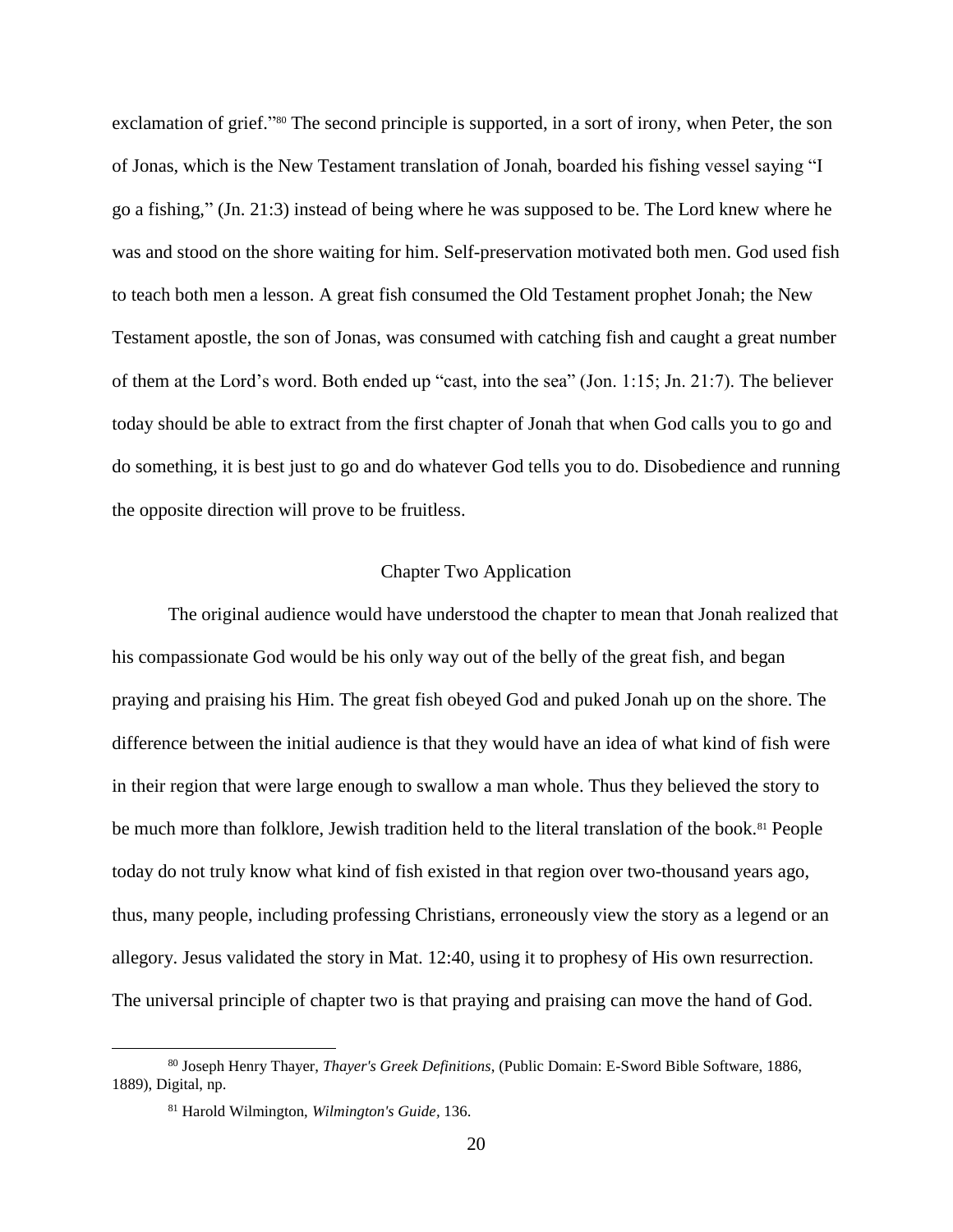exclamation of grief."<sup>80</sup> The second principle is supported, in a sort of irony, when Peter, the son of Jonas, which is the New Testament translation of Jonah, boarded his fishing vessel saying "I go a fishing," (Jn. 21:3) instead of being where he was supposed to be. The Lord knew where he was and stood on the shore waiting for him. Self-preservation motivated both men. God used fish to teach both men a lesson. A great fish consumed the Old Testament prophet Jonah; the New Testament apostle, the son of Jonas, was consumed with catching fish and caught a great number of them at the Lord's word. Both ended up "cast, into the sea" (Jon. 1:15; Jn. 21:7). The believer today should be able to extract from the first chapter of Jonah that when God calls you to go and do something, it is best just to go and do whatever God tells you to do. Disobedience and running the opposite direction will prove to be fruitless.

# Chapter Two Application

The original audience would have understood the chapter to mean that Jonah realized that his compassionate God would be his only way out of the belly of the great fish, and began praying and praising his Him. The great fish obeyed God and puked Jonah up on the shore. The difference between the initial audience is that they would have an idea of what kind of fish were in their region that were large enough to swallow a man whole. Thus they believed the story to be much more than folklore, Jewish tradition held to the literal translation of the book.<sup>81</sup> People today do not truly know what kind of fish existed in that region over two-thousand years ago, thus, many people, including professing Christians, erroneously view the story as a legend or an allegory. Jesus validated the story in Mat. 12:40, using it to prophesy of His own resurrection. The universal principle of chapter two is that praying and praising can move the hand of God.

<sup>80</sup> Joseph Henry Thayer, *Thayer's Greek Definitions*, (Public Domain: E-Sword Bible Software, 1886, 1889), Digital, np.

<sup>81</sup> Harold Wilmington, *Wilmington's Guide,* 136.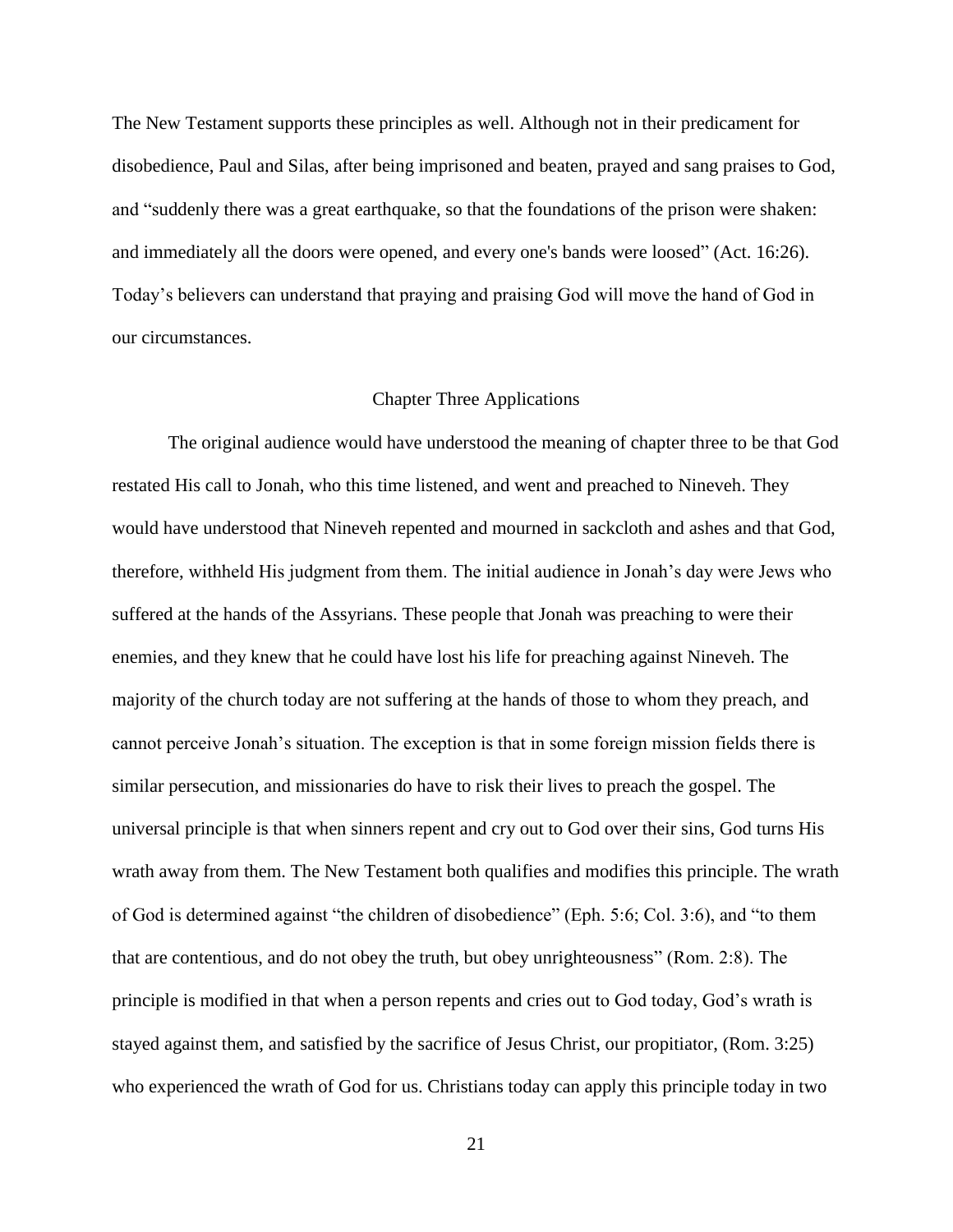The New Testament supports these principles as well. Although not in their predicament for disobedience, Paul and Silas, after being imprisoned and beaten, prayed and sang praises to God, and "suddenly there was a great earthquake, so that the foundations of the prison were shaken: and immediately all the doors were opened, and every one's bands were loosed" (Act. 16:26). Today's believers can understand that praying and praising God will move the hand of God in our circumstances.

#### Chapter Three Applications

The original audience would have understood the meaning of chapter three to be that God restated His call to Jonah, who this time listened, and went and preached to Nineveh. They would have understood that Nineveh repented and mourned in sackcloth and ashes and that God, therefore, withheld His judgment from them. The initial audience in Jonah's day were Jews who suffered at the hands of the Assyrians. These people that Jonah was preaching to were their enemies, and they knew that he could have lost his life for preaching against Nineveh. The majority of the church today are not suffering at the hands of those to whom they preach, and cannot perceive Jonah's situation. The exception is that in some foreign mission fields there is similar persecution, and missionaries do have to risk their lives to preach the gospel. The universal principle is that when sinners repent and cry out to God over their sins, God turns His wrath away from them. The New Testament both qualifies and modifies this principle. The wrath of God is determined against "the children of disobedience" (Eph. 5:6; Col. 3:6), and "to them that are contentious, and do not obey the truth, but obey unrighteousness" (Rom. 2:8). The principle is modified in that when a person repents and cries out to God today, God's wrath is stayed against them, and satisfied by the sacrifice of Jesus Christ, our propitiator, (Rom. 3:25) who experienced the wrath of God for us. Christians today can apply this principle today in two

21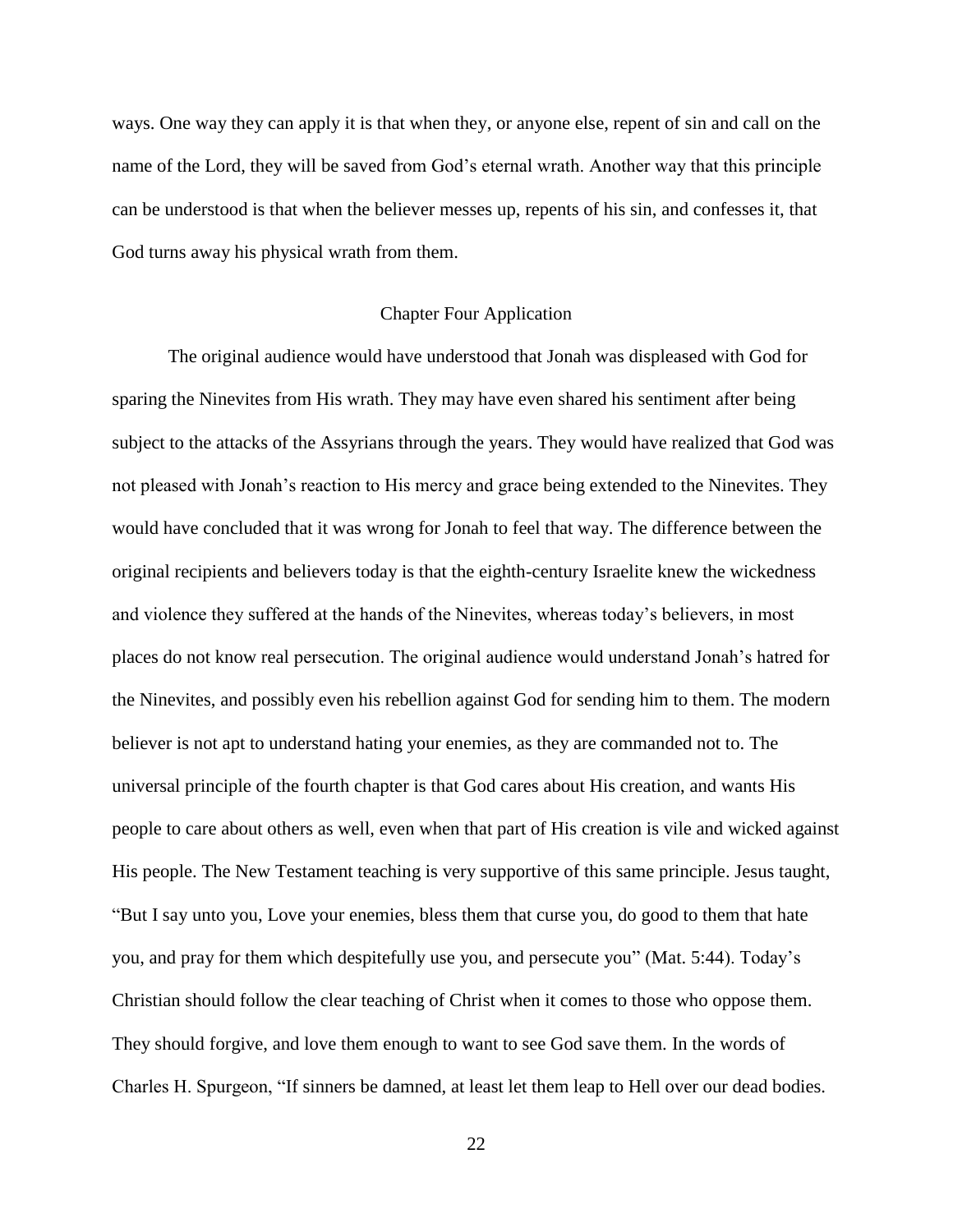ways. One way they can apply it is that when they, or anyone else, repent of sin and call on the name of the Lord, they will be saved from God's eternal wrath. Another way that this principle can be understood is that when the believer messes up, repents of his sin, and confesses it, that God turns away his physical wrath from them.

#### Chapter Four Application

The original audience would have understood that Jonah was displeased with God for sparing the Ninevites from His wrath. They may have even shared his sentiment after being subject to the attacks of the Assyrians through the years. They would have realized that God was not pleased with Jonah's reaction to His mercy and grace being extended to the Ninevites. They would have concluded that it was wrong for Jonah to feel that way. The difference between the original recipients and believers today is that the eighth-century Israelite knew the wickedness and violence they suffered at the hands of the Ninevites, whereas today's believers, in most places do not know real persecution. The original audience would understand Jonah's hatred for the Ninevites, and possibly even his rebellion against God for sending him to them. The modern believer is not apt to understand hating your enemies, as they are commanded not to. The universal principle of the fourth chapter is that God cares about His creation, and wants His people to care about others as well, even when that part of His creation is vile and wicked against His people. The New Testament teaching is very supportive of this same principle. Jesus taught, "But I say unto you, Love your enemies, bless them that curse you, do good to them that hate you, and pray for them which despitefully use you, and persecute you" (Mat. 5:44). Today's Christian should follow the clear teaching of Christ when it comes to those who oppose them. They should forgive, and love them enough to want to see God save them. In the words of Charles H. Spurgeon, "If sinners be damned, at least let them leap to Hell over our dead bodies.

22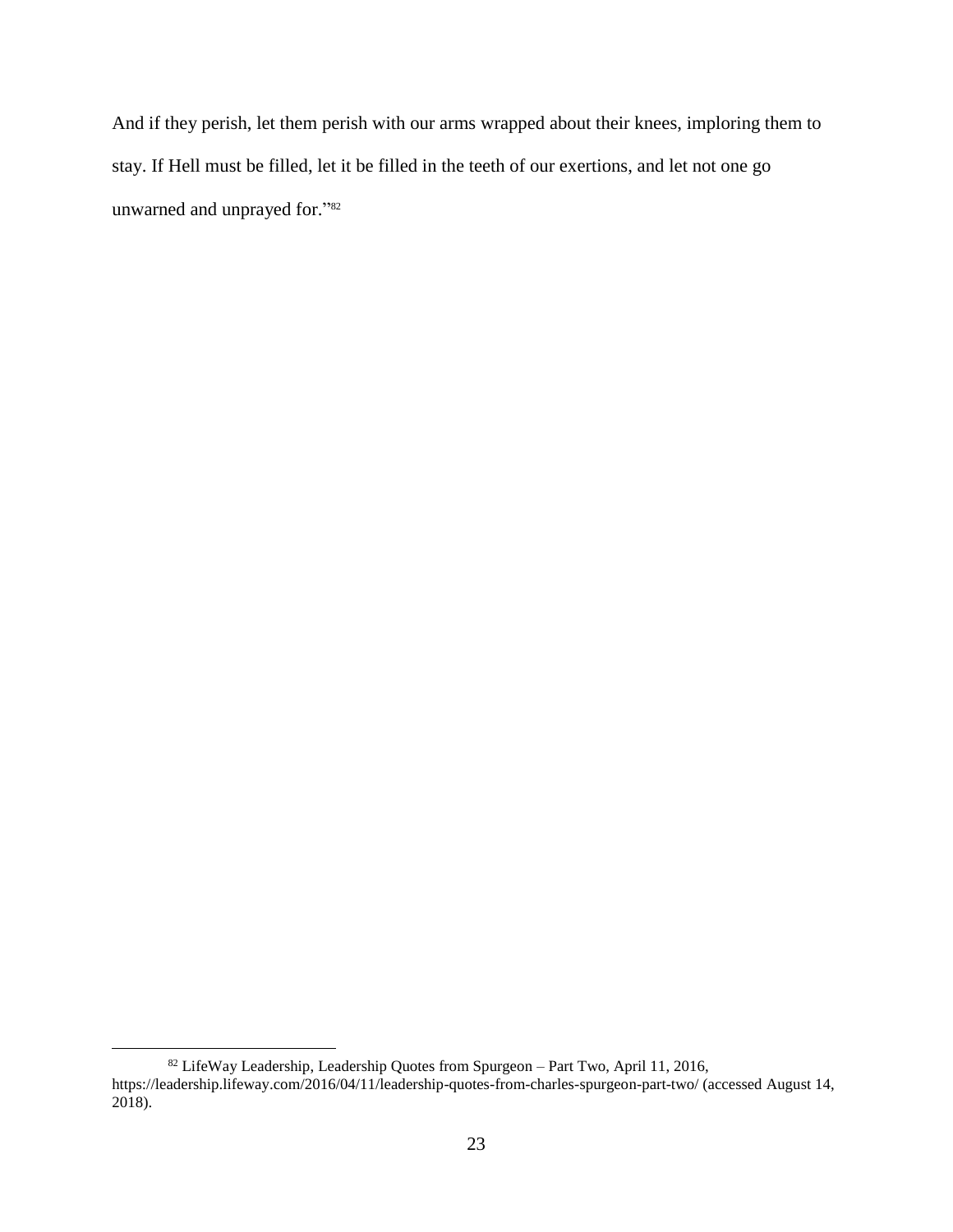And if they perish, let them perish with our arms wrapped about their knees, imploring them to stay. If Hell must be filled, let it be filled in the teeth of our exertions, and let not one go unwarned and unprayed for." 82

<sup>82</sup> LifeWay Leadership, Leadership Quotes from Spurgeon – Part Two, April 11, 2016, https://leadership.lifeway.com/2016/04/11/leadership-quotes-from-charles-spurgeon-part-two/ (accessed August 14, 2018).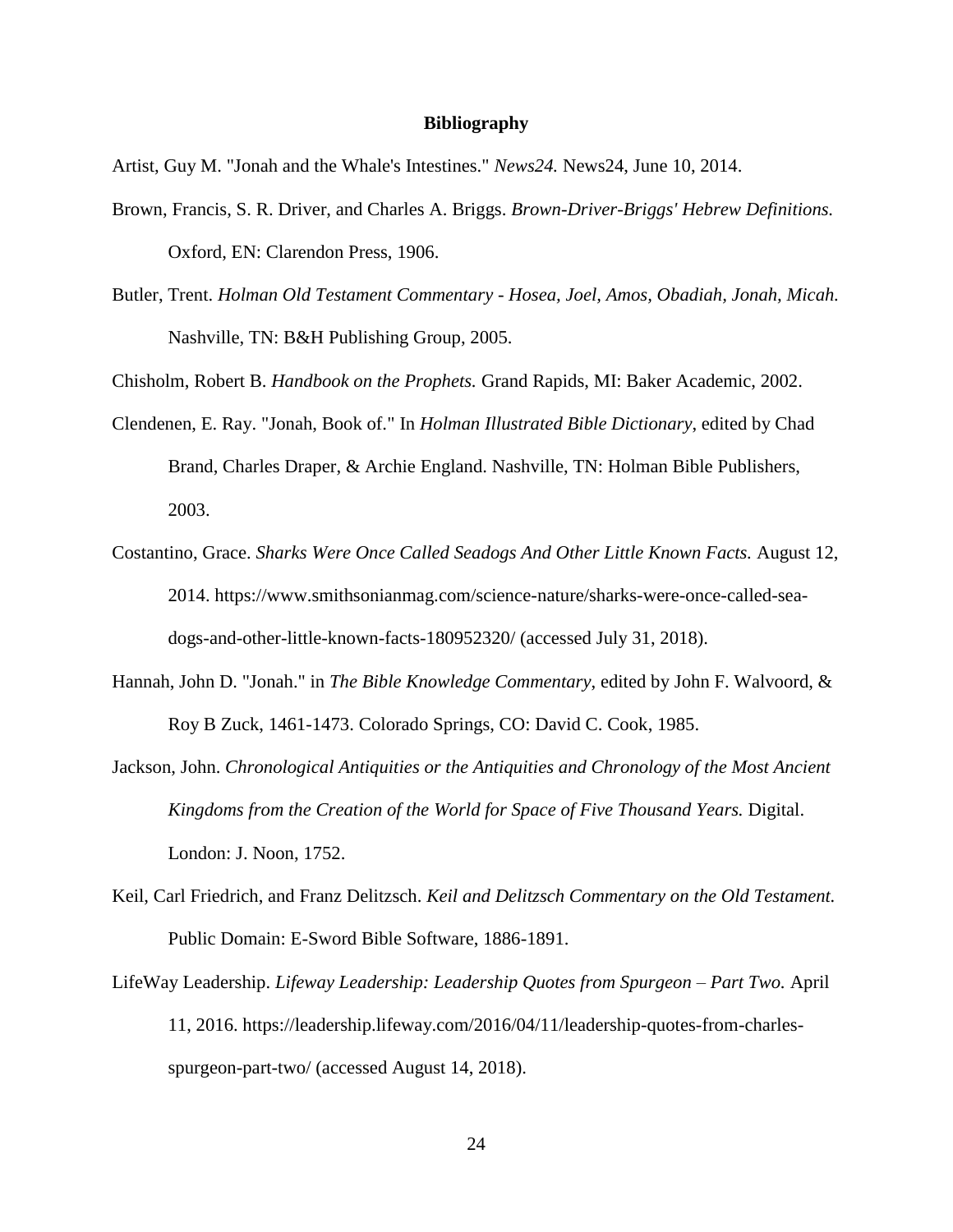#### **Bibliography**

Artist, Guy M. "Jonah and the Whale's Intestines." *News24.* News24, June 10, 2014.

- Brown, Francis, S. R. Driver, and Charles A. Briggs. *Brown-Driver-Briggs' Hebrew Definitions.* Oxford, EN: Clarendon Press, 1906.
- Butler, Trent. *Holman Old Testament Commentary - Hosea, Joel, Amos, Obadiah, Jonah, Micah.* Nashville, TN: B&H Publishing Group, 2005.

Chisholm, Robert B. *Handbook on the Prophets.* Grand Rapids, MI: Baker Academic, 2002.

- Clendenen, E. Ray. "Jonah, Book of." In *Holman Illustrated Bible Dictionary*, edited by Chad Brand, Charles Draper, & Archie England. Nashville, TN: Holman Bible Publishers, 2003.
- Costantino, Grace. *Sharks Were Once Called Seadogs And Other Little Known Facts.* August 12, 2014. https://www.smithsonianmag.com/science-nature/sharks-were-once-called-seadogs-and-other-little-known-facts-180952320/ (accessed July 31, 2018).
- Hannah, John D. "Jonah." in *The Bible Knowledge Commentary*, edited by John F. Walvoord, & Roy B Zuck, 1461-1473. Colorado Springs, CO: David C. Cook, 1985.
- Jackson, John. *Chronological Antiquities or the Antiquities and Chronology of the Most Ancient Kingdoms from the Creation of the World for Space of Five Thousand Years.* Digital. London: J. Noon, 1752.
- Keil, Carl Friedrich, and Franz Delitzsch. *Keil and Delitzsch Commentary on the Old Testament.* Public Domain: E-Sword Bible Software, 1886-1891.
- LifeWay Leadership. *Lifeway Leadership: Leadership Quotes from Spurgeon – Part Two.* April 11, 2016. https://leadership.lifeway.com/2016/04/11/leadership-quotes-from-charlesspurgeon-part-two/ (accessed August 14, 2018).